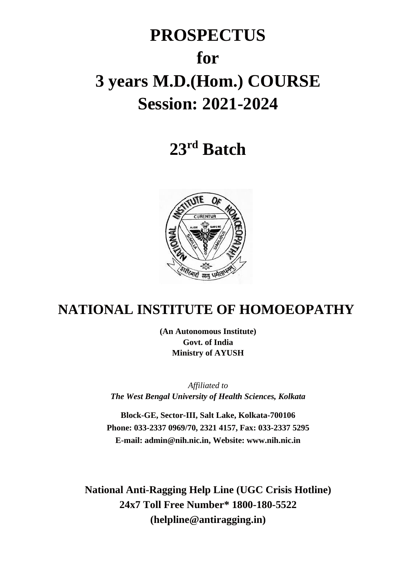# **PROSPECTUS for 3 years M.D.(Hom.) COURSE Session: 2021-2024**

# **23 rd Batch**



# **NATIONAL INSTITUTE OF HOMOEOPATHY**

**(An Autonomous Institute) Govt. of India Ministry of AYUSH**

*Affiliated to The West Bengal University of Health Sciences, Kolkata*

**Block-GE, Sector-III, Salt Lake, Kolkata-700106 Phone: 033-2337 0969/70, 2321 4157, Fax: 033-2337 5295 E-mail: admin@nih.nic.in, Website: www.nih.nic.in**

**National Anti-Ragging Help Line (UGC Crisis Hotline) 24x7 Toll Free Number\* 1800-180-5522 (helpline@antiragging.in)**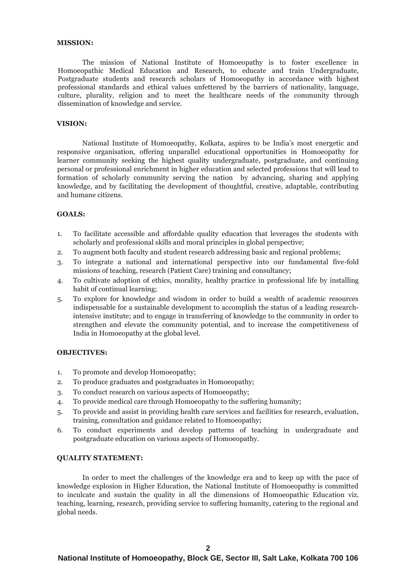#### **MISSION:**

The mission of National Institute of Homoeopathy is to foster excellence in Homoeopathic Medical Education and Research, to educate and train Undergraduate, Postgraduate students and research scholars of Homoeopathy in accordance with highest professional standards and ethical values unfettered by the barriers of nationality, language, culture, plurality, religion and to meet the healthcare needs of the community through dissemination of knowledge and service.

#### **VISION:**

National Institute of Homoeopathy, Kolkata, aspires to be India's most energetic and responsive organisation, offering unparallel educational opportunities in Homoeopathy for learner community seeking the highest quality undergraduate, postgraduate, and continuing personal or professional enrichment in higher education and selected professions that will lead to formation of scholarly community serving the nation by advancing, sharing and applying knowledge, and by facilitating the development of thoughtful, creative, adaptable, contributing and humane citizens.

#### **GOALS:**

- 1. To facilitate accessible and affordable quality education that leverages the students with scholarly and professional skills and moral principles in global perspective;
- 2. To augment both faculty and student research addressing basic and regional problems;
- 3. To integrate a national and international perspective into our fundamental five-fold missions of teaching, research (Patient Care) training and consultancy;
- 4. To cultivate adoption of ethics, morality, healthy practice in professional life by installing habit of continual learning;
- 5. To explore for knowledge and wisdom in order to build a wealth of academic resources indispensable for a sustainable development to accomplish the status of a leading researchintensive institute; and to engage in transferring of knowledge to the community in order to strengthen and elevate the community potential, and to increase the competitiveness of India in Homoeopathy at the global level.

#### **OBJECTIVES:**

- 1. To promote and develop Homoeopathy;
- 2. To produce graduates and postgraduates in Homoeopathy;
- 3. To conduct research on various aspects of Homoeopathy;
- 4. To provide medical care through Homoeopathy to the suffering humanity;
- 5. To provide and assist in providing health care services and facilities for research, evaluation, training, consultation and guidance related to Homoeopathy;
- 6. To conduct experiments and develop patterns of teaching in undergraduate and postgraduate education on various aspects of Homoeopathy.

#### **QUALITY STATEMENT:**

In order to meet the challenges of the knowledge era and to keep up with the pace of knowledge explosion in Higher Education, the National Institute of Homoeopathy is committed to inculcate and sustain the quality in all the dimensions of Homoeopathic Education viz. teaching, learning, research, providing service to suffering humanity, catering to the regional and global needs.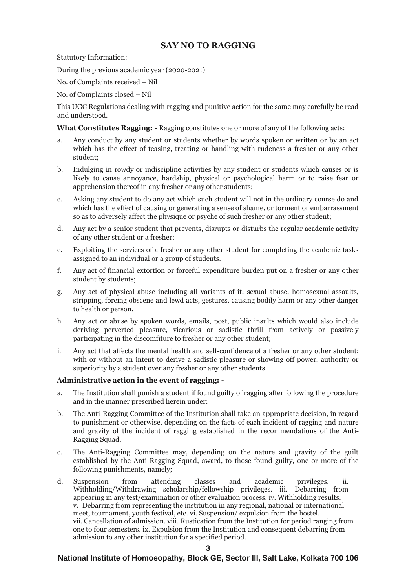# **SAY NO TO RAGGING**

Statutory Information:

During the previous academic year (2020-2021)

No. of Complaints received – Nil

No. of Complaints closed – Nil

This UGC Regulations dealing with ragging and punitive action for the same may carefully be read and understood.

**What Constitutes Ragging: -** Ragging constitutes one or more of any of the following acts:

- a. Any conduct by any student or students whether by words spoken or written or by an act which has the effect of teasing, treating or handling with rudeness a fresher or any other student;
- b. Indulging in rowdy or indiscipline activities by any student or students which causes or is likely to cause annoyance, hardship, physical or psychological harm or to raise fear or apprehension thereof in any fresher or any other students;
- c. Asking any student to do any act which such student will not in the ordinary course do and which has the effect of causing or generating a sense of shame, or torment or embarrassment so as to adversely affect the physique or psyche of such fresher or any other student;
- d. Any act by a senior student that prevents, disrupts or disturbs the regular academic activity of any other student or a fresher;
- e. Exploiting the services of a fresher or any other student for completing the academic tasks assigned to an individual or a group of students.
- f. Any act of financial extortion or forceful expenditure burden put on a fresher or any other student by students;
- g. Any act of physical abuse including all variants of it; sexual abuse, homosexual assaults, stripping, forcing obscene and lewd acts, gestures, causing bodily harm or any other danger to health or person.
- h. Any act or abuse by spoken words, emails, post, public insults which would also include deriving perverted pleasure, vicarious or sadistic thrill from actively or passively participating in the discomfiture to fresher or any other student;
- i. Any act that affects the mental health and self-confidence of a fresher or any other student; with or without an intent to derive a sadistic pleasure or showing off power, authority or superiority by a student over any fresher or any other students.

# **Administrative action in the event of ragging: -**

- a. The Institution shall punish a student if found guilty of ragging after following the procedure and in the manner prescribed herein under:
- b. The Anti-Ragging Committee of the Institution shall take an appropriate decision, in regard to punishment or otherwise, depending on the facts of each incident of ragging and nature and gravity of the incident of ragging established in the recommendations of the Anti-Ragging Squad.
- c. The Anti-Ragging Committee may, depending on the nature and gravity of the guilt established by the Anti-Ragging Squad, award, to those found guilty, one or more of the following punishments, namely;
- d. Suspension from attending classes and academic privileges. ii. Withholding/Withdrawing scholarship/fellowship privileges. iii. Debarring from appearing in any test/examination or other evaluation process. iv. Withholding results. v. Debarring from representing the institution in any regional, national or international meet, tournament, youth festival, etc. vi. Suspension/ expulsion from the hostel. vii. Cancellation of admission. viii. Rustication from the Institution for period ranging from one to four semesters. ix. Expulsion from the Institution and consequent debarring from admission to any other institution for a specified period.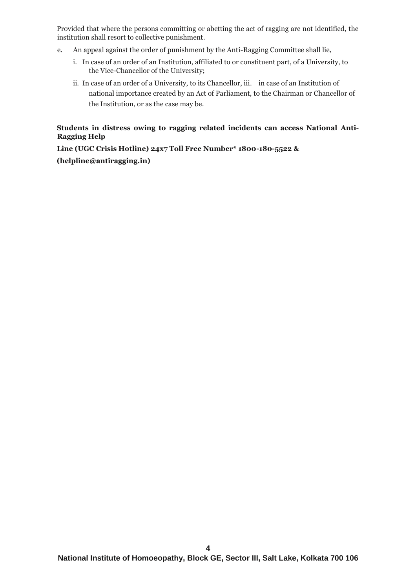Provided that where the persons committing or abetting the act of ragging are not identified, the institution shall resort to collective punishment.

- e. An appeal against the order of punishment by the Anti-Ragging Committee shall lie,
	- i. In case of an order of an Institution, affiliated to or constituent part, of a University, to the Vice-Chancellor of the University;
	- ii. In case of an order of a University, to its Chancellor, iii. in case of an Institution of national importance created by an Act of Parliament, to the Chairman or Chancellor of the Institution, or as the case may be.

# **Students in distress owing to ragging related incidents can access National Anti-Ragging Help**

**Line (UGC Crisis Hotline) 24x7 Toll Free Number\* 1800-180-5522 & (helpline@antiragging.in)**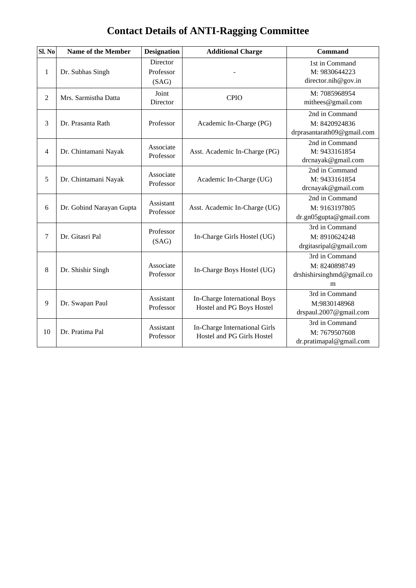# **Contact Details of ANTI-Ragging Committee**

| SI. No         | <b>Name of the Member</b> | <b>Designation</b>                    | <b>Additional Charge</b>                                    | <b>Command</b>                                                         |
|----------------|---------------------------|---------------------------------------|-------------------------------------------------------------|------------------------------------------------------------------------|
| 1              | Dr. Subhas Singh          | <b>Director</b><br>Professor<br>(SAG) |                                                             | 1st in Command<br>M: 9830644223<br>director.nih@gov.in                 |
| $\overline{2}$ | Mrs. Sarmistha Datta      | Joint<br>Director                     | <b>CPIO</b>                                                 | M: 7085968954<br>mithees@gmail.com                                     |
| 3              | Dr. Prasanta Rath         | Professor                             | Academic In-Charge (PG)                                     | 2nd in Command<br>M: 8420924836<br>drprasantarath09@gmail.com          |
| 4              | Dr. Chintamani Nayak      | Associate<br>Professor                | Asst. Academic In-Charge (PG)                               | 2nd in Command<br>M: 9433161854<br>drcnayak@gmail.com                  |
| 5              | Dr. Chintamani Nayak      | Associate<br>Professor                | Academic In-Charge (UG)                                     | 2nd in Command<br>M: 9433161854<br>drcnayak@gmail.com                  |
| 6              | Dr. Gobind Narayan Gupta  | Assistant<br>Professor                | Asst. Academic In-Charge (UG)                               | $\overline{2nd}$ in Command<br>M: 9163197805<br>dr.gn05gupta@gmail.com |
| 7              | Dr. Gitasri Pal           | Professor<br>(SAG)                    | In-Charge Girls Hostel (UG)                                 | 3rd in Command<br>M: 8910624248<br>drgitasripal@gmail.com              |
| 8              | Dr. Shishir Singh         | Associate<br>Professor                | In-Charge Boys Hostel (UG)                                  | 3rd in Command<br>M: 8240898749<br>drshishirsinghmd@gmail.co<br>m      |
| 9              | Dr. Swapan Paul           | Assistant<br>Professor                | In-Charge International Boys<br>Hostel and PG Boys Hostel   | 3rd in Command<br>M:9830148968<br>drspaul.2007@gmail.com               |
| 10             | Dr. Pratima Pal           | Assistant<br>Professor                | In-Charge International Girls<br>Hostel and PG Girls Hostel | 3rd in Command<br>M: 7679507608<br>dr.pratimapal@gmail.com             |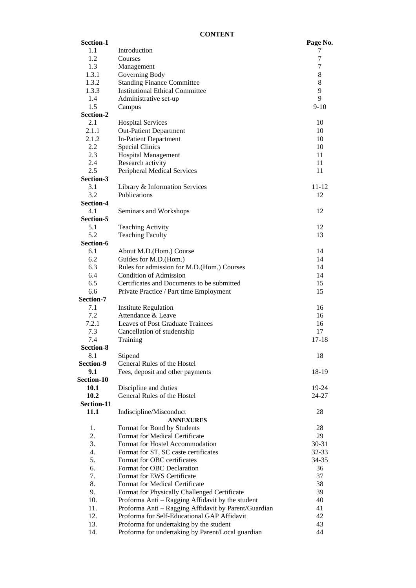| Section-1  |                                                      | Page No.  |
|------------|------------------------------------------------------|-----------|
| 1.1        | Introduction                                         | 7         |
| 1.2        | Courses                                              | 7         |
| 1.3        | Management                                           | 7         |
| 1.3.1      | Governing Body                                       | 8         |
| 1.3.2      | <b>Standing Finance Committee</b>                    | $8\,$     |
| 1.3.3      | <b>Institutional Ethical Committee</b>               | 9         |
| 1.4        | Administrative set-up                                | 9         |
| 1.5        | Campus                                               | $9 - 10$  |
| Section-2  |                                                      |           |
| 2.1        | <b>Hospital Services</b>                             | 10        |
| 2.1.1      | <b>Out-Patient Department</b>                        | 10        |
| 2.1.2      | <b>In-Patient Department</b>                         | 10        |
| $2.2\,$    | <b>Special Clinics</b>                               | 10        |
| 2.3        | <b>Hospital Management</b>                           | 11        |
| 2.4        | Research activity                                    | 11        |
| 2.5        | Peripheral Medical Services                          | 11        |
| Section-3  |                                                      |           |
| 3.1        | Library & Information Services                       | 11-12     |
| 3.2        | <b>Publications</b>                                  | 12        |
| Section-4  |                                                      |           |
| 4.1        | Seminars and Workshops                               | 12        |
| Section-5  |                                                      |           |
| 5.1        | <b>Teaching Activity</b>                             | 12        |
| 5.2        | <b>Teaching Faculty</b>                              | 13        |
| Section-6  |                                                      |           |
| 6.1        | About M.D.(Hom.) Course                              | 14        |
| 6.2        | Guides for M.D.(Hom.)                                | 14        |
| 6.3        | Rules for admission for M.D.(Hom.) Courses           | 14        |
| 6.4        | <b>Condition of Admission</b>                        | 14        |
| 6.5        |                                                      |           |
|            | Certificates and Documents to be submitted           | 15        |
| 6.6        | Private Practice / Part time Employment              | 15        |
| Section-7  |                                                      |           |
| 7.1        | <b>Institute Regulation</b>                          | 16        |
| 7.2        | Attendance & Leave                                   | 16        |
| 7.2.1      | Leaves of Post Graduate Trainees                     | 16        |
| 7.3        | Cancellation of studentship                          | 17        |
| 7.4        | Training                                             | $17 - 18$ |
| Section-8  |                                                      |           |
| 8.1        | Stipend                                              | 18        |
| Section-9  | General Rules of the Hostel                          |           |
| 9.1        | Fees, deposit and other payments                     | 18-19     |
| Section-10 |                                                      |           |
| 10.1       | Discipline and duties                                | 19-24     |
| 10.2       | General Rules of the Hostel                          | 24-27     |
| Section-11 |                                                      |           |
| 11.1       | Indiscipline/Misconduct                              | 28        |
|            | <b>ANNEXURES</b>                                     |           |
| 1.         | Format for Bond by Students                          | 28        |
| 2.         | Format for Medical Certificate                       | 29        |
| 3.         | Format for Hostel Accommodation                      | 30-31     |
| 4.         | Format for ST, SC caste certificates                 | 32-33     |
| 5.         | Format for OBC certificates                          | 34-35     |
| 6.         | Format for OBC Declaration                           | 36        |
| 7.         | Format for EWS Certificate                           | 37        |
| 8.         | Format for Medical Certificate                       | 38        |
| 9.         | Format for Physically Challenged Certificate         | 39        |
| 10.        | Proforma Anti - Ragging Affidavit by the student     | 40        |
| 11.        | Proforma Anti - Ragging Affidavit by Parent/Guardian | 41        |
| 12.        | Proforma for Self-Educational GAP Affidavit          | 42        |
| 13.        | Proforma for undertaking by the student              | 43        |
| 14.        | Proforma for undertaking by Parent/Local guardian    | 44        |
|            |                                                      |           |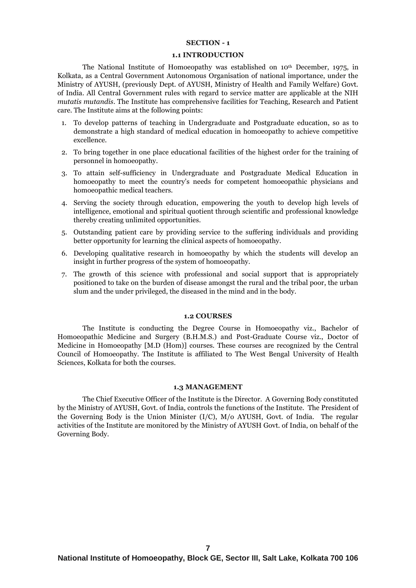#### **SECTION - 1**

#### **1.1 INTRODUCTION**

The National Institute of Homoeopathy was established on 10th December, 1975, in Kolkata, as a Central Government Autonomous Organisation of national importance, under the Ministry of AYUSH, (previously Dept. of AYUSH, Ministry of Health and Family Welfare) Govt. of India. All Central Government rules with regard to service matter are applicable at the NIH *mutatis mutandis*. The Institute has comprehensive facilities for Teaching, Research and Patient care. The Institute aims at the following points:

- 1. To develop patterns of teaching in Undergraduate and Postgraduate education, so as to demonstrate a high standard of medical education in homoeopathy to achieve competitive excellence.
- 2. To bring together in one place educational facilities of the highest order for the training of personnel in homoeopathy.
- 3. To attain self-sufficiency in Undergraduate and Postgraduate Medical Education in homoeopathy to meet the country's needs for competent homoeopathic physicians and homoeopathic medical teachers.
- 4. Serving the society through education, empowering the youth to develop high levels of intelligence, emotional and spiritual quotient through scientific and professional knowledge thereby creating unlimited opportunities.
- 5. Outstanding patient care by providing service to the suffering individuals and providing better opportunity for learning the clinical aspects of homoeopathy.
- 6. Developing qualitative research in homoeopathy by which the students will develop an insight in further progress of the system of homoeopathy.
- 7. The growth of this science with professional and social support that is appropriately positioned to take on the burden of disease amongst the rural and the tribal poor, the urban slum and the under privileged, the diseased in the mind and in the body.

#### **1.2 COURSES**

The Institute is conducting the Degree Course in Homoeopathy viz., Bachelor of Homoeopathic Medicine and Surgery (B.H.M.S.) and Post-Graduate Course viz., Doctor of Medicine in Homoeopathy [M.D (Hom)] courses. These courses are recognized by the Central Council of Homoeopathy. The Institute is affiliated to The West Bengal University of Health Sciences, Kolkata for both the courses.

#### **1.3 MANAGEMENT**

The Chief Executive Officer of the Institute is the Director. A Governing Body constituted by the Ministry of AYUSH, Govt. of India, controls the functions of the Institute. The President of the Governing Body is the Union Minister (I/C), M/o AYUSH, Govt. of India. The regular activities of the Institute are monitored by the Ministry of AYUSH Govt. of India, on behalf of the Governing Body.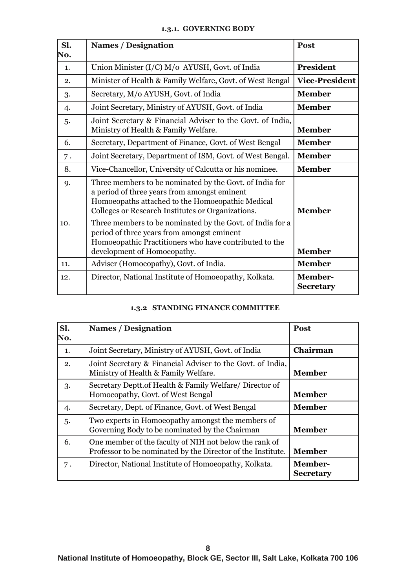# **1.3.1. GOVERNING BODY**

| Sl.<br>No. | <b>Names / Designation</b>                                                                                                                                                                                       | Post                               |
|------------|------------------------------------------------------------------------------------------------------------------------------------------------------------------------------------------------------------------|------------------------------------|
| 1.         | Union Minister (I/C) M/o AYUSH, Govt. of India                                                                                                                                                                   | <b>President</b>                   |
| 2.         | Minister of Health & Family Welfare, Govt. of West Bengal                                                                                                                                                        | <b>Vice-President</b>              |
| 3.         | Secretary, M/o AYUSH, Govt. of India                                                                                                                                                                             | <b>Member</b>                      |
| 4.         | Joint Secretary, Ministry of AYUSH, Govt. of India                                                                                                                                                               | <b>Member</b>                      |
| 5.         | Joint Secretary & Financial Adviser to the Govt. of India,<br>Ministry of Health & Family Welfare.                                                                                                               | <b>Member</b>                      |
| 6.         | Secretary, Department of Finance, Govt. of West Bengal                                                                                                                                                           | <b>Member</b>                      |
| 7.         | Joint Secretary, Department of ISM, Govt. of West Bengal.                                                                                                                                                        | <b>Member</b>                      |
| 8.         | Vice-Chancellor, University of Calcutta or his nominee.                                                                                                                                                          | <b>Member</b>                      |
| 9.         | Three members to be nominated by the Govt. of India for<br>a period of three years from amongst eminent<br>Homoeopaths attached to the Homoeopathic Medical<br>Colleges or Research Institutes or Organizations. | <b>Member</b>                      |
| 10.        | Three members to be nominated by the Govt. of India for a<br>period of three years from amongst eminent<br>Homoeopathic Practitioners who have contributed to the<br>development of Homoeopathy.                 | <b>Member</b>                      |
| 11.        | Adviser (Homoeopathy), Govt. of India.                                                                                                                                                                           | <b>Member</b>                      |
| 12.        | Director, National Institute of Homoeopathy, Kolkata.                                                                                                                                                            | <b>Member-</b><br><b>Secretary</b> |

# **1.3.2 STANDING FINANCE COMMITTEE**

| Sl.<br>No. | <b>Names / Designation</b>                                                                                            | Post                               |
|------------|-----------------------------------------------------------------------------------------------------------------------|------------------------------------|
| 1.         | Joint Secretary, Ministry of AYUSH, Govt. of India                                                                    | Chairman                           |
| 2.         | Joint Secretary & Financial Adviser to the Govt. of India,<br>Ministry of Health & Family Welfare.                    | <b>Member</b>                      |
| 3.         | Secretary Deptt.of Health & Family Welfare/ Director of<br>Homoeopathy, Govt. of West Bengal                          | <b>Member</b>                      |
| 4.         | Secretary, Dept. of Finance, Govt. of West Bengal                                                                     | <b>Member</b>                      |
| 5.         | Two experts in Homoeopathy amongst the members of<br>Governing Body to be nominated by the Chairman                   | <b>Member</b>                      |
| 6.         | One member of the faculty of NIH not below the rank of<br>Professor to be nominated by the Director of the Institute. | <b>Member</b>                      |
| 7.         | Director, National Institute of Homoeopathy, Kolkata.                                                                 | <b>Member-</b><br><b>Secretary</b> |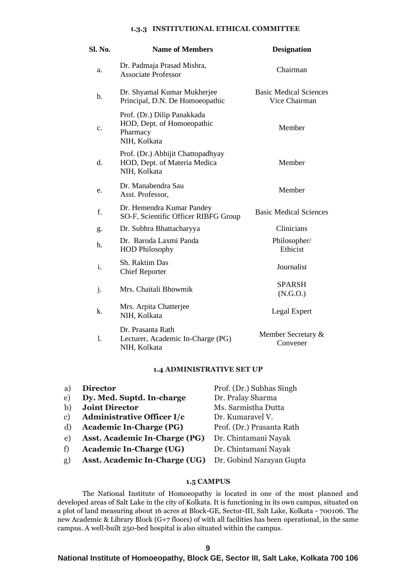# **1.3.3 INSTITUTIONAL ETHICAL COMMITTEE**

| Sl. No.        | <b>Name of Members</b>                                                                | <b>Designation</b>                             |
|----------------|---------------------------------------------------------------------------------------|------------------------------------------------|
| a.             | Dr. Padmaja Prasad Mishra,<br><b>Associate Professor</b>                              | Chairman                                       |
| $\mathbf b$ .  | Dr. Shyamal Kumar Mukherjee<br>Principal, D.N. De Homoeopathic                        | <b>Basic Medical Sciences</b><br>Vice Chairman |
| $\mathbf{c}$ . | Prof. (Dr.) Dilip Panakkada<br>HOD, Dept. of Homoeopathic<br>Pharmacy<br>NIH, Kolkata | Member                                         |
| d.             | Prof. (Dr.) Abhijit Chattopadhyay<br>HOD, Dept. of Materia Medica<br>NIH, Kolkata     | Member                                         |
| e.             | Dr. Manabendra Sau<br>Asst. Professor,                                                | Member                                         |
| f.             | Dr. Hemendra Kumar Pandey<br>SO-F, Scientific Officer RIBFG Group                     | <b>Basic Medical Sciences</b>                  |
| g.             | Dr. Subhra Bhattacharyya                                                              | Clinicians                                     |
| h.             | Dr. Baroda Laxmi Panda<br><b>HOD Philosophy</b>                                       | Philosopher/<br>Ethicist                       |
| i.             | Sh. Raktim Das<br><b>Chief Reporter</b>                                               | Journalist                                     |
| $\mathbf{j}$ . | Mrs. Chaitali Bhowmik                                                                 | <b>SPARSH</b><br>(N.G.O.)                      |
| k.             | Mrs. Arpita Chatterjee<br>NIH, Kolkata                                                | Legal Expert                                   |
| 1.             | Dr. Prasanta Rath<br>Lecturer, Academic In-Charge (PG)<br>NIH, Kolkata                | Member Secretary &<br>Convener                 |

#### **1.4 ADMINISTRATIVE SET UP**

| a)            | <b>Director</b>                      | Prof. (Dr.) Subhas Singh  |
|---------------|--------------------------------------|---------------------------|
| e)            | Dy. Med. Suptd. In-charge            | Dr. Pralay Sharma         |
| b)            | <b>Joint Director</b>                | Ms. Sarmistha Dutta       |
| $\mathbf{c})$ | <b>Administrative Officer I/c</b>    | Dr. Kumaravel V.          |
| d)            | <b>Academic In-Charge (PG)</b>       | Prof. (Dr.) Prasanta Rath |
| e)            | <b>Asst. Academic In-Charge (PG)</b> | Dr. Chintamani Nayak      |
| f)            | <b>Academic In-Charge (UG)</b>       | Dr. Chintamani Nayak      |
| $g$ )         | <b>Asst. Academic In-Charge (UG)</b> | Dr. Gobind Narayan Gupta  |
|               |                                      |                           |

# **1.5 CAMPUS**

The National Institute of Homoeopathy is located in one of the most planned and developed areas of Salt Lake in the city of Kolkata. It is functioning in its own campus, situated on a plot of land measuring about 16 acres at Block-GE, Sector-III, Salt Lake, Kolkata - 700106. The new Academic & Library Block (G+7 floors) of with all facilities has been operational, in the same campus. A well-built 250-bed hospital is also situated within the campus.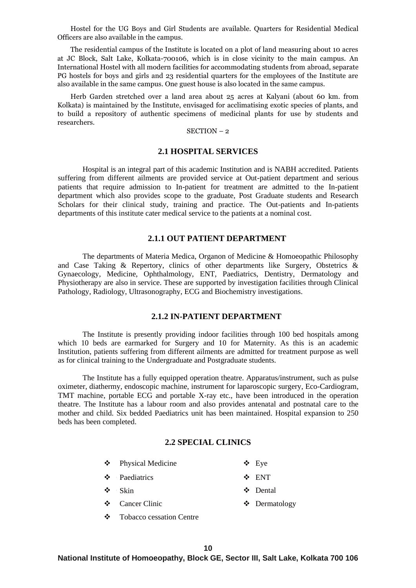Hostel for the UG Boys and Girl Students are available. Quarters for Residential Medical Officers are also available in the campus.

 The residential campus of the Institute is located on a plot of land measuring about 10 acres at JC Block, Salt Lake, Kolkata-700106, which is in close vicinity to the main campus. An International Hostel with all modern facilities for accommodating students from abroad, separate PG hostels for boys and girls and 23 residential quarters for the employees of the Institute are also available in the same campus. One guest house is also located in the same campus.

 Herb Garden stretched over a land area about 25 acres at Kalyani (about 60 km. from Kolkata) is maintained by the Institute, envisaged for acclimatising exotic species of plants, and to build a repository of authentic specimens of medicinal plants for use by students and researchers.

#### SECTION – 2

# **2.1 HOSPITAL SERVICES**

Hospital is an integral part of this academic Institution and is NABH accredited. Patients suffering from different ailments are provided service at Out-patient department and serious patients that require admission to In-patient for treatment are admitted to the In-patient department which also provides scope to the graduate, Post Graduate students and Research Scholars for their clinical study, training and practice. The Out-patients and In-patients departments of this institute cater medical service to the patients at a nominal cost.

# **2.1.1 OUT PATIENT DEPARTMENT**

The departments of Materia Medica, Organon of Medicine & Homoeopathic Philosophy and Case Taking & Repertory, clinics of other departments like Surgery, Obstetrics & Gynaecology, Medicine, Ophthalmology, ENT, Paediatrics, Dentistry, Dermatology and Physiotherapy are also in service. These are supported by investigation facilities through Clinical Pathology, Radiology, Ultrasonography, ECG and Biochemistry investigations.

# **2.1.2 IN-PATIENT DEPARTMENT**

The Institute is presently providing indoor facilities through 100 bed hospitals among which 10 beds are earmarked for Surgery and 10 for Maternity. As this is an academic Institution, patients suffering from different ailments are admitted for treatment purpose as well as for clinical training to the Undergraduate and Postgraduate students.

The Institute has a fully equipped operation theatre. Apparatus/instrument, such as pulse oximeter, diathermy, endoscopic machine, instrument for laparoscopic surgery, Eco-Cardiogram, TMT machine, portable ECG and portable X-ray etc., have been introduced in the operation theatre. The Institute has a labour room and also provides antenatal and postnatal care to the mother and child. Six bedded Paediatrics unit has been maintained. Hospital expansion to 250 beds has been completed.

# **2.2 SPECIAL CLINICS**

- ❖ Physical Medicine ❖ Eye
- ❖ ϖPaediatrics ❖ ENT
- ❖ ϖSkin ❖ Dental
- ❖ Cancer Clinic ❖ Dermatology
- ❖ Tobacco cessation Centre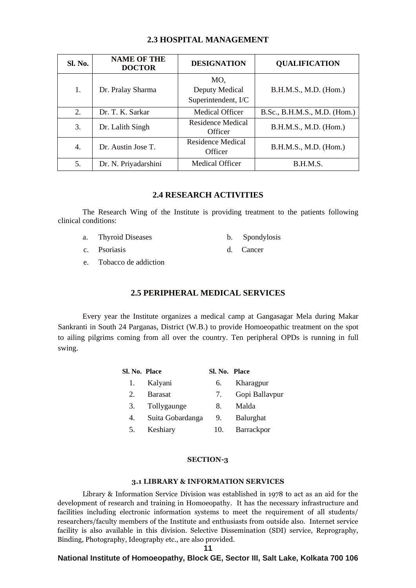| <b>Sl. No.</b>          | <b>NAME OF THE</b><br><b>DOCTOR</b> | <b>DESIGNATION</b>                                    | <b>QUALIFICATION</b>         |
|-------------------------|-------------------------------------|-------------------------------------------------------|------------------------------|
| 1.<br>Dr. Pralay Sharma |                                     | MO,<br>Deputy Medical<br>Superintendent, I/C          | B.H.M.S., M.D. (Hom.)        |
| 2.                      | Dr. T. K. Sarkar                    | Medical Officer                                       | B.Sc., B.H.M.S., M.D. (Hom.) |
| 3.                      | Dr. Lalith Singh                    | <b>Residence Medical</b><br>Officer                   | B.H.M.S., M.D. (Hom.)        |
| 4.                      | Dr. Austin Jose T.                  | Residence Medical<br>B.H.M.S., M.D. (Hom.)<br>Officer |                              |
| 5.                      | Dr. N. Priyadarshini                | Medical Officer                                       | B.H.M.S.                     |

# **2.3 HOSPITAL MANAGEMENT**

# **2.4 RESEARCH ACTIVITIES**

The Research Wing of the Institute is providing treatment to the patients following clinical conditions:

- a. Thyroid Diseases b. Spondylosis
- 
- c. Psoriasis d. Cancer
	-
- e. Tobacco de addiction

# **2.5 PERIPHERAL MEDICAL SERVICES**

Every year the Institute organizes a medical camp at Gangasagar Mela during Makar Sankranti in South 24 Parganas, District (W.B.) to provide Homoeopathic treatment on the spot to ailing pilgrims coming from all over the country. Ten peripheral OPDs is running in full swing.

| Sl. No. Place |                  | Sl. No. Place |                  |
|---------------|------------------|---------------|------------------|
| 1.            | Kalyani          | 6.            | Kharagpur        |
| 2.            | <b>Barasat</b>   | 7.            | Gopi Ballavpur   |
| 3.            | Tollygaunge      | 8.            | Malda            |
| 4.            | Suita Gobardanga | 9.            | <b>Balurghat</b> |
| 5.            | Keshiary         | 10.           | Barrackpor       |

#### **SECTION-3**

#### **3.1 LIBRARY & INFORMATION SERVICES**

Library & Information Service Division was established in 1978 to act as an aid for the development of research and training in Homoeopathy. It has the necessary infrastructure and facilities including electronic information systems to meet the requirement of all students/ researchers/faculty members of the Institute and enthusiasts from outside also. Internet service facility is also available in this division. Selective Dissemination (SDI) service, Reprography, Binding, Photography, Ideography etc., are also provided.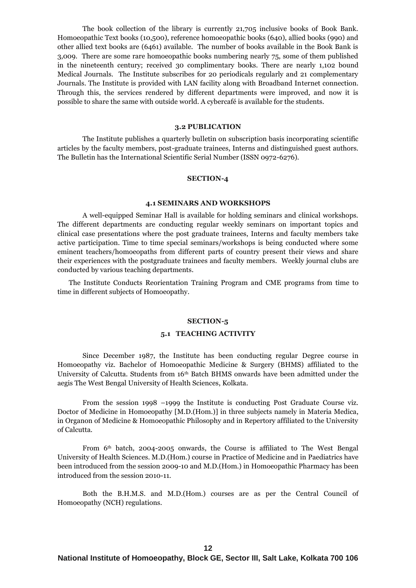The book collection of the library is currently 21,705 inclusive books of Book Bank. Homoeopathic Text books (10,500), reference homoeopathic books (640), allied books (990) and other allied text books are (6461) available. The number of books available in the Book Bank is 3,009. There are some rare homoeopathic books numbering nearly 75, some of them published in the nineteenth century; received 30 complimentary books. There are nearly 1,102 bound Medical Journals. The Institute subscribes for 20 periodicals regularly and 21 complementary Journals. The Institute is provided with LAN facility along with Broadband Internet connection. Through this, the services rendered by different departments were improved, and now it is possible to share the same with outside world. A cybercafé is available for the students.

#### **3.2 PUBLICATION**

The Institute publishes a quarterly bulletin on subscription basis incorporating scientific articles by the faculty members, post-graduate trainees, Interns and distinguished guest authors. The Bulletin has the International Scientific Serial Number (ISSN 0972-6276).

#### **SECTION-4**

#### **4.1 SEMINARS AND WORKSHOPS**

A well-equipped Seminar Hall is available for holding seminars and clinical workshops. The different departments are conducting regular weekly seminars on important topics and clinical case presentations where the post graduate trainees, Interns and faculty members take active participation. Time to time special seminars/workshops is being conducted where some eminent teachers/homoeopaths from different parts of country present their views and share their experiences with the postgraduate trainees and faculty members.Weekly journal clubs are conducted by various teaching departments.

 The Institute Conducts Reorientation Training Program and CME programs from time to time in different subjects of Homoeopathy.

#### **SECTION-5**

#### **5.1 TEACHING ACTIVITY**

Since December 1987, the Institute has been conducting regular Degree course in Homoeopathy viz. Bachelor of Homoeopathic Medicine & Surgery (BHMS) affiliated to the University of Calcutta. Students from 16th Batch BHMS onwards have been admitted under the aegis The West Bengal University of Health Sciences, Kolkata.

From the session 1998 –1999 the Institute is conducting Post Graduate Course viz. Doctor of Medicine in Homoeopathy [M.D.(Hom.)] in three subjects namely in Materia Medica, in Organon of Medicine & Homoeopathic Philosophy and in Repertory affiliated to the University of Calcutta.

From  $6<sup>th</sup>$  batch, 2004-2005 onwards, the Course is affiliated to The West Bengal University of Health Sciences. M.D.(Hom.) course in Practice of Medicine and in Paediatrics have been introduced from the session 2009-10 and M.D.(Hom.) in Homoeopathic Pharmacy has been introduced from the session 2010-11.

Both the B.H.M.S. and M.D.(Hom.) courses are as per the Central Council of Homoeopathy (NCH) regulations.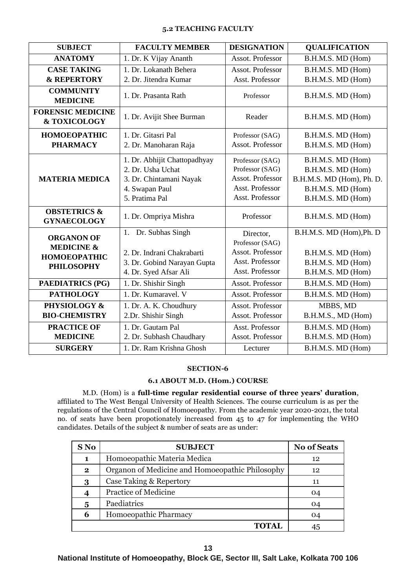#### **5.2 TEACHING FACULTY**

| <b>SUBJECT</b>                                                                         | <b>FACULTY MEMBER</b>                                                                                            | <b>DESIGNATION</b>                                                                           | <b>QUALIFICATION</b>                                                                                          |
|----------------------------------------------------------------------------------------|------------------------------------------------------------------------------------------------------------------|----------------------------------------------------------------------------------------------|---------------------------------------------------------------------------------------------------------------|
| <b>ANATOMY</b>                                                                         | 1. Dr. K Vijay Ananth                                                                                            | Assot. Professor                                                                             | B.H.M.S. MD (Hom)                                                                                             |
| <b>CASE TAKING</b>                                                                     | 1. Dr. Lokanath Behera                                                                                           | Assot. Professor                                                                             | B.H.M.S. MD (Hom)                                                                                             |
| <b>&amp; REPERTORY</b>                                                                 | 2. Dr. Jitendra Kumar                                                                                            | Asst. Professor                                                                              | B.H.M.S. MD (Hom)                                                                                             |
| <b>COMMUNITY</b><br><b>MEDICINE</b>                                                    | 1. Dr. Prasanta Rath                                                                                             | Professor                                                                                    | B.H.M.S. MD (Hom)                                                                                             |
| <b>FORENSIC MEDICINE</b><br>& TOXICOLOGY                                               | 1. Dr. Avijit Shee Burman                                                                                        | Reader                                                                                       | B.H.M.S. MD (Hom)                                                                                             |
| <b>HOMOEOPATHIC</b>                                                                    | 1. Dr. Gitasri Pal                                                                                               | Professor (SAG)                                                                              | B.H.M.S. MD (Hom)                                                                                             |
| <b>PHARMACY</b>                                                                        | 2. Dr. Manoharan Raja                                                                                            | Assot. Professor                                                                             | B.H.M.S. MD (Hom)                                                                                             |
| <b>MATERIA MEDICA</b>                                                                  | 1. Dr. Abhijit Chattopadhyay<br>2. Dr. Usha Uchat<br>3. Dr. Chintamani Nayak<br>4. Swapan Paul<br>5. Pratima Pal | Professor (SAG)<br>Professor (SAG)<br>Assot. Professor<br>Asst. Professor<br>Asst. Professor | B.H.M.S. MD (Hom)<br>B.H.M.S. MD (Hom)<br>B.H.M.S. MD (Hom), Ph. D.<br>B.H.M.S. MD (Hom)<br>B.H.M.S. MD (Hom) |
| <b>OBSTETRICS &amp;</b><br><b>GYNAECOLOGY</b>                                          | 1. Dr. Ompriya Mishra                                                                                            | Professor                                                                                    | B.H.M.S. MD (Hom)                                                                                             |
| <b>ORGANON OF</b><br><b>MEDICINE &amp;</b><br><b>HOMOEOPATHIC</b><br><b>PHILOSOPHY</b> | 1. Dr. Subhas Singh<br>2. Dr. Indrani Chakrabarti<br>3. Dr. Gobind Narayan Gupta<br>4. Dr. Syed Afsar Ali        | Director,<br>Professor (SAG)<br>Assot. Professor<br>Asst. Professor<br>Asst. Professor       | B.H.M.S. MD (Hom), Ph. D<br>B.H.M.S. MD (Hom)<br>B.H.M.S. MD (Hom)<br>B.H.M.S. MD (Hom)                       |
| <b>PAEDIATRICS (PG)</b>                                                                | 1. Dr. Shishir Singh                                                                                             | Assot. Professor                                                                             | B.H.M.S. MD (Hom)                                                                                             |
| <b>PATHOLOGY</b>                                                                       | 1. Dr. Kumaravel. V                                                                                              | Assot. Professor                                                                             | B.H.M.S. MD (Hom)                                                                                             |
| PHYSIOLOGY &                                                                           | 1. Dr. A. K. Choudhury                                                                                           | Assot. Professor                                                                             | MBBS, MD                                                                                                      |
| <b>BIO-CHEMISTRY</b>                                                                   | 2.Dr. Shishir Singh                                                                                              | Assot. Professor                                                                             | B.H.M.S., MD (Hom)                                                                                            |
| <b>PRACTICE OF</b>                                                                     | 1. Dr. Gautam Pal                                                                                                | Asst. Professor                                                                              | B.H.M.S. MD (Hom)                                                                                             |
| <b>MEDICINE</b>                                                                        | 2. Dr. Subhash Chaudhary                                                                                         | Assot. Professor                                                                             | B.H.M.S. MD (Hom)                                                                                             |
| <b>SURGERY</b>                                                                         | 1. Dr. Ram Krishna Ghosh                                                                                         | Lecturer                                                                                     | B.H.M.S. MD (Hom)                                                                                             |

#### **SECTION-6**

# **6.1 ABOUT M.D. (Hom.) COURSE**

M.D. (Hom) is a **full-time regular residential course of three years' duration**, affiliated to The West Bengal University of Health Sciences. The course curriculum is as per the regulations of the Central Council of Homoeopathy. From the academic year 2020-2021, the total no. of seats have been propotionately increased from 45 to 47 for implementing the WHO candidates. Details of the subject & number of seats are as under:

| S No         | <b>SUBJECT</b>                                  | <b>No of Seats</b> |
|--------------|-------------------------------------------------|--------------------|
| 1            | Homoeopathic Materia Medica                     | 12                 |
| $\mathbf{2}$ | Organon of Medicine and Homoeopathic Philosophy | 12                 |
| 3            | Case Taking & Repertory                         | 11                 |
|              | Practice of Medicine                            | 04                 |
| 5            | Paediatrics                                     | 04                 |
| 6            | Homoeopathic Pharmacy                           | 04                 |
|              | OTAL.                                           |                    |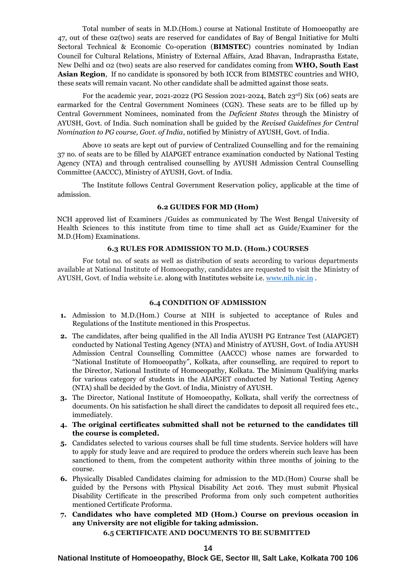Total number of seats in M.D.(Hom.) course at National Institute of Homoeopathy are 47, out of these 02(two) seats are reserved for candidates of Bay of Bengal Initiative for Multi Sectoral Technical & Economic Co-operation (**BIMSTEC**) countries nominated by Indian Council for Cultural Relations, Ministry of External Affairs, Azad Bhavan, Indraprastha Estate, New Delhi and 02 (two) seats are also reserved for candidates coming from **WHO, South East Asian Region**, If no candidate is sponsored by both ICCR from BIMSTEC countries and WHO, these seats will remain vacant. No other candidate shall be admitted against those seats.

For the academic year, 2021-2022 (PG Session 2021-2024, Batch 23rd) Six (06) seats are earmarked for the Central Government Nominees (CGN). These seats are to be filled up by Central Government Nominees, nominated from the *Deficient States* through the Ministry of AYUSH, Govt. of India. Such nomination shall be guided by the *Revised Guidelines for Central Nomination to PG course, Govt. of India*, notified by Ministry of AYUSH, Govt. of India.

Above 10 seats are kept out of purview of Centralized Counselling and for the remaining 37 no. of seats are to be filled by AIAPGET entrance examination conducted by National Testing Agency (NTA) and through centralised counselling by AYUSH Admission Central Counselling Committee (AACCC), Ministry of AYUSH, Govt. of India.

The Institute follows Central Government Reservation policy, applicable at the time of admission.

#### **6.2 GUIDES FOR MD (Hom)**

NCH approved list of Examiners /Guides as communicated by The West Bengal University of Health Sciences to this institute from time to time shall act as Guide/Examiner for the M.D.(Hom) Examinations.

# **6.3 RULES FOR ADMISSION TO M.D. (Hom.) COURSES**

For total no. of seats as well as distribution of seats according to various departments available at National Institute of Homoeopathy, candidates are requested to visit the Ministry of AYUSH, Govt. of India website i.e. along with Institutes website i.e. [www.nih.nic.in](http://www.nih.nic.in/) .

#### **6.4 CONDITION OF ADMISSION**

- **1.** Admission to M.D.(Hom.) Course at NIH is subjected to acceptance of Rules and Regulations of the Institute mentioned in this Prospectus.
- **2.** The candidates, after being qualified in the All India AYUSH PG Entrance Test (AIAPGET) conducted by National Testing Agency (NTA) and Ministry of AYUSH, Govt. of India AYUSH Admission Central Counselling Committee (AACCC) whose names are forwarded to "National Institute of Homoeopathy", Kolkata, after counselling, are required to report to the Director, National Institute of Homoeopathy, Kolkata. The Minimum Qualifying marks for various category of students in the AIAPGET conducted by National Testing Agency (NTA) shall be decided by the Govt. of India, Ministry of AYUSH.
- **3.** The Director, National Institute of Homoeopathy, Kolkata, shall verify the correctness of documents. On his satisfaction he shall direct the candidates to deposit all required fees etc., immediately.
- **4. The original certificates submitted shall not be returned to the candidates till the course is completed.**
- **5.** Candidates selected to various courses shall be full time students. Service holders will have to apply for study leave and are required to produce the orders wherein such leave has been sanctioned to them, from the competent authority within three months of joining to the course.
- **6.** Physically Disabled Candidates claiming for admission to the MD.(Hom) Course shall be guided by the Persons with Physical Disability Act 2016. They must submit Physical Disability Certificate in the prescribed Proforma from only such competent authorities mentioned Certificate Proforma.
- **7. Candidates who have completed MD (Hom.) Course on previous occasion in any University are not eligible for taking admission.**

# **6.5 CERTIFICATE AND DOCUMENTS TO BE SUBMITTED**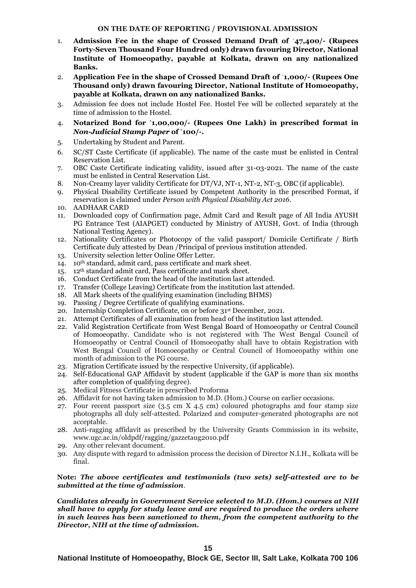### **ON THE DATE OF REPORTING / PROVISIONAL ADMISSION**

- 1. **Admission Fee in the shape of Crossed Demand Draft of** `**47,400/- (Rupees Forty-Seven Thousand Four Hundred only) drawn favouring Director, National Institute of Homoeopathy, payable at Kolkata, drawn on any nationalized Banks.**
- 2. **Application Fee in the shape of Crossed Demand Draft of** `**1,000/- (Rupees One Thousand only) drawn favouring Director, National Institute of Homoeopathy, payable at Kolkata, drawn on any nationalized Banks.**
- 3. Admission fee does not include Hostel Fee. Hostel Fee will be collected separately at the time of admission to the Hostel.
- 4. **Notarized Bond for `1,00,000/- (Rupees One Lakh) in prescribed format in**  *Non-Judicial Stamp Paper* **of `100/-.**
- 5. Undertaking by Student and Parent.
- 6. SC/ST Caste Certificate (if applicable). The name of the caste must be enlisted in Central Reservation List.
- 7. OBC Caste Certificate indicating validity, issued after 31-03-2021. The name of the caste must be enlisted in Central Reservation List.
- 8. Non-Creamy layer validity Certificate for DT/VJ, NT-1, NT-2, NT-3, OBC (if applicable).
- 9. Physical Disability Certificate issued by Competent Authority in the prescribed Format, if reservation is claimed under *Person with Physical Disability Act 2016*.
- 10. AADHAAR CARD
- 11. Downloaded copy of Confirmation page, Admit Card and Result page of All India AYUSH PG Entrance Test (AIAPGET) conducted by Ministry of AYUSH, Govt. of India (through National Testing Agency).
- 12. Nationality Certificates or Photocopy of the valid passport/ Domicile Certificate / Birth Certificate duly attested by Dean /Principal of previous institution attended.
- 13. University selection letter Online Offer Letter.
- 14. 10th standard, admit card, pass certificate and mark sheet.
- 15. 12th standard admit card, Pass certificate and mark sheet.
- 16. Conduct Certificate from the head of the institution last attended.
- 17. Transfer (College Leaving) Certificate from the institution last attended.
- 18. All Mark sheets of the qualifying examination (including BHMS)
- 19. Passing / Degree Certificate of qualifying examinations.
- 20. Internship Completion Certificate, on or before 31st December, 2021.
- 21. Attempt Certificates of all examination from head of the institution last attended.
- 22. Valid Registration Certificate from West Bengal Board of Homoeopathy or Central Council of Homoeopathy. Candidate who is not registered with The West Bengal Council of Homoeopathy or Central Council of Homoeopathy shall have to obtain Registration with West Bengal Council of Homoeopathy or Central Council of Homoeopathy within one month of admission to the PG course.
- 23. Migration Certificate issued by the respective University, (if applicable).
- 24. Self-Educational GAP Affidavit by student (applicable if the GAP is more than six months after completion of qualifying degree).
- 25. Medical Fitness Certificate in prescribed Proforma
- 26. Affidavit for not having taken admission to M.D. (Hom.) Course on earlier occasions.
- 27. Four recent passport size (3.5 cm X 4.5 cm) coloured photographs and four stamp size photographs all duly self-attested. Polarized and computer-generated photographs are not acceptable.
- 28. Anti-ragging affidavit as prescribed by the University Grants Commission in its website, www.ugc.ac.in/oldpdf/ragging/gazzetaug2010.pdf
- 29. Any other relevant document.
- 30. Any dispute with regard to admission process the decision of Director N.I.H., Kolkata will be final.

**Note:** *The above certificates and testimonials (two sets) self-attested are to be submitted at the time of admission.*

*Candidates already in Government Service selected to M.D. (Hom.) courses at NIH shall have to apply for study leave and are required to produce the orders where in such leaves has been sanctioned to them, from the competent authority to the Director, NIH at the time of admission.*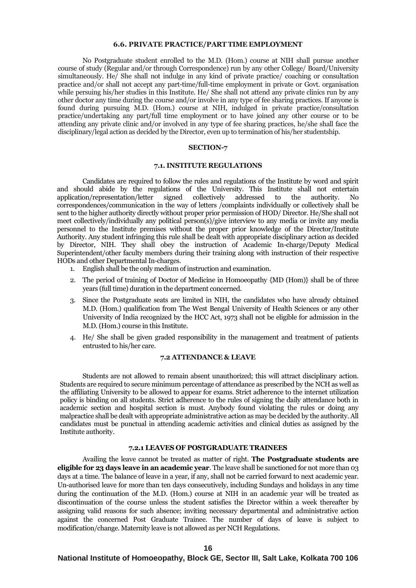#### **6.6. PRIVATE PRACTICE/PART TIME EMPLOYMENT**

No Postgraduate student enrolled to the M.D. (Hom.) course at NIH shall pursue another course of study (Regular and/or through Correspondence) run by any other College/ Board/University simultaneously. He/ She shall not indulge in any kind of private practice/ coaching or consultation practice and/or shall not accept any part-time/full-time employment in private or Govt. organisation while persuing his/her studies in this Institute. He/ She shall not attend any private clinics run by any other doctor any time during the course and/or involve in any type of fee sharing practices. If anyone is found during pursuing M.D. (Hom.) course at NIH, indulged in private practice/consultation practice/undertaking any part/full time employment or to have joined any other course or to be attending any private clinic and/or involved in any type of fee sharing practices, he/she shall face the disciplinary/legal action as decided by the Director, even up to termination of his/her studentship.

#### **SECTION-7**

#### **7.1. INSTITUTE REGULATIONS**

Candidates are required to follow the rules and regulations of the Institute by word and spirit and should abide by the regulations of the University. This Institute shall not entertain application/representation/letter signed collectively addressed to the authority. No application/representation/letter signed collectively addressed to the authority. No correspondences/communication in the way of letters /complaints individually or collectively shall be sent to the higher authority directly without proper prior permission of HOD/ Director. He/She shall not meet collectively/individually any political person(s)/give interview to any media or invite any media personnel to the Institute premises without the proper prior knowledge of the Director/Institute Authority. Any student infringing this rule shall be dealt with appropriate disciplinary action as decided by Director, NIH. They shall obey the instruction of Academic In-charge/Deputy Medical Superintendent/other faculty members during their training along with instruction of their respective HODs and other Departmental In-charges.

- 1. English shall be the only medium of instruction and examination.
- 2. The period of training of Doctor of Medicine in Homoeopathy {MD (Hom)} shall be of three years (full time) duration in the department concerned.
- 3. Since the Postgraduate seats are limited in NIH, the candidates who have already obtained M.D. (Hom.) qualification from The West Bengal University of Health Sciences or any other University of India recognized by the HCC Act, 1973 shall not be eligible for admission in the M.D. (Hom.) course in this Institute.
- 4. He/ She shall be given graded responsibility in the management and treatment of patients entrusted to his/her care.

#### **7.2 ATTENDANCE & LEAVE**

Students are not allowed to remain absent unauthorized; this will attract disciplinary action. Students are required to secure minimum percentage of attendance as prescribed by the NCH as well as the affiliating University to be allowed to appear for exams. Strict adherence to the internet utilization policy is binding on all students. Strict adherence to the rules of signing the daily attendance both in academic section and hospital section is must. Anybody found violating the rules or doing any malpractice shall be dealt with appropriate administrative action as may be decided by the authority. All candidates must be punctual in attending academic activities and clinical duties as assigned by the Institute authority.

#### **7.2.1 LEAVES OF POSTGRADUATE TRAINEES**

Availing the leave cannot be treated as matter of right. **The Postgraduate students are eligible for 23 days leave in an academic year**. The leave shall be sanctioned for not more than 03 days at a time. The balance of leave in a year, if any, shall not be carried forward to next academic year. Un-authorised leave for more than ten days consecutively, including Sundays and holidays in any time during the continuation of the M.D. (Hom.) course at NIH in an academic year will be treated as discontinuation of the course unless the student satisfies the Director within a week thereafter by assigning valid reasons for such absence; inviting necessary departmental and administrative action against the concerned Post Graduate Trainee. The number of days of leave is subject to modification/change. Maternity leave is not allowed as per NCH Regulations.

#### **16**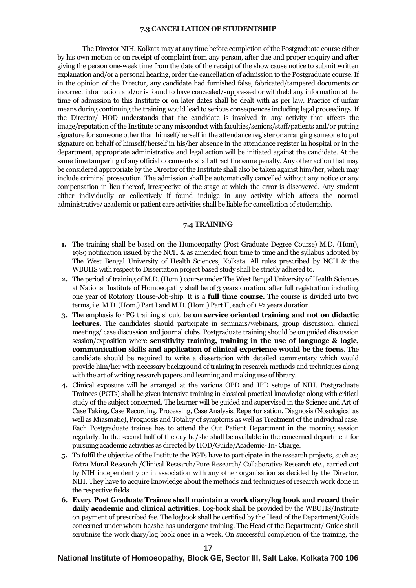#### **7.3 CANCELLATION OF STUDENTSHIP**

The Director NIH, Kolkata may at any time before completion of the Postgraduate course either by his own motion or on receipt of complaint from any person, after due and proper enquiry and after giving the person one-week time from the date of the receipt of the show cause notice to submit written explanation and/or a personal hearing, order the cancellation of admission to the Postgraduate course. If in the opinion of the Director, any candidate had furnished false, fabricated/tampered documents or incorrect information and/or is found to have concealed/suppressed or withheld any information at the time of admission to this Institute or on later dates shall be dealt with as per law. Practice of unfair means during continuing the training would lead to serious consequences including legal proceedings. If the Director/ HOD understands that the candidate is involved in any activity that affects the image/reputation of the Institute or any misconduct with faculties/seniors/staff/patients and/or putting signature for someone other than himself/herself in the attendance register or arranging someone to put signature on behalf of himself/herself in his/her absence in the attendance register in hospital or in the department, appropriate administrative and legal action will be initiated against the candidate. At the same time tampering of any official documents shall attract the same penalty. Any other action that may be considered appropriate by the Director of the Institute shall also be taken against him/her, which may include criminal prosecution. The admission shall be automatically cancelled without any notice or any compensation in lieu thereof, irrespective of the stage at which the error is discovered. Any student either individually or collectively if found indulge in any activity which affects the normal administrative/ academic or patient care activities shall be liable for cancellation of studentship.

#### **7.4 TRAINING**

- **1.** The training shall be based on the Homoeopathy (Post Graduate Degree Course) M.D. (Hom), 1989 notification issued by the NCH & as amended from time to time and the syllabus adopted by The West Bengal University of Health Sciences, Kolkata. All rules prescribed by NCH & the WBUHS with respect to Dissertation project based study shall be strictly adhered to.
- **2.** The period of training of M.D. (Hom.) course under The West Bengal University of Health Sciences at National Institute of Homoeopathy shall be of 3 years duration, after full registration including one year of Rotatory House-Job-ship. It is a **full time course.** The course is divided into two terms, i.e. M.D. (Hom.) Part I and M.D. (Hom.) Part II, each of 1 ½ years duration.
- **3.** The emphasis for PG training should be **on service oriented training and not on didactic lectures**. The candidates should participate in seminars/webinars, group discussion, clinical meetings/ case discussion and journal clubs. Postgraduate training should be on guided discussion session/exposition where **sensitivity training, training in the use of language & logic, communication skills and application of clinical experience would be the focus**. The candidate should be required to write a dissertation with detailed commentary which would provide him/her with necessary background of training in research methods and techniques along with the art of writing research papers and learning and making use of library.
- **4.** Clinical exposure will be arranged at the various OPD and IPD setups of NIH. Postgraduate Trainees (PGTs) shall be given intensive training in classical practical knowledge along with critical study of the subject concerned. The learner will be guided and supervised in the Science and Art of Case Taking, Case Recording, Processing, Case Analysis, Repertorisation, Diagnosis (Nosological as well as Miasmatic), Prognosis and Totality of symptoms as well as Treatment of the individual case. Each Postgraduate trainee has to attend the Out Patient Department in the morning session regularly. In the second half of the day he/she shall be available in the concerned department for pursuing academic activities as directed by HOD/Guide/Academic-In- Charge.
- **5.** To fulfil the objective of the Institute the PGTs have to participate in the research projects, such as; Extra Mural Research /Clinical Research/Pure Research/ Collaborative Research etc., carried out by NIH independently or in association with any other organisation as decided by the Director, NIH. They have to acquire knowledge about the methods and techniques of research work done in the respective fields.
- **6. Every Post Graduate Trainee shall maintain a work diary/log book and record their daily academic and clinical activities.** Log-book shall be provided by the WBUHS/Institute on payment of prescribed fee. The logbook shall be certified by the Head of the Department/Guide concerned under whom he/she has undergone training. The Head of the Department/ Guide shall scrutinise the work diary/log book once in a week. On successful completion of the training, the

#### **17**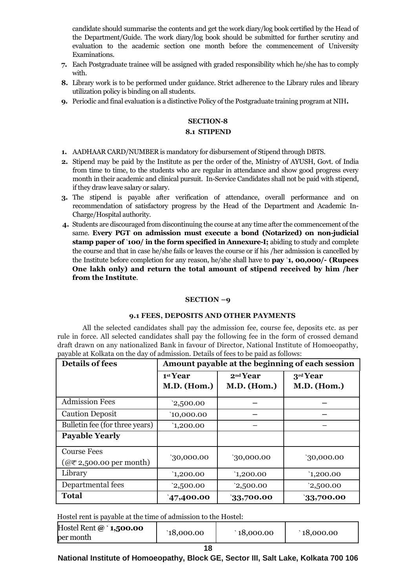candidate should summarise the contents and get the work diary/log book certified by the Head of the Department/Guide. The work diary/log book should be submitted for further scrutiny and evaluation to the academic section one month before the commencement of University Examinations.

- **7.** Each Postgraduate trainee will be assigned with graded responsibility which he/she has to comply with.
- **8.** Library work is to be performed under guidance. Strict adherence to the Library rules and library utilization policy is binding on all students.
- **9.** Periodic and final evaluation is a distinctive Policy of the Postgraduate training program at NIH**.**

# **SECTION-8**

# **8.1 STIPEND**

- **1.** AADHAAR CARD/NUMBER is mandatory for disbursement of Stipend through DBTS.
- **2.** Stipend may be paid by the Institute as per the order of the, Ministry of AYUSH, Govt. of India from time to time, to the students who are regular in attendance and show good progress every month in their academic and clinical pursuit. In-Service Candidates shall not be paid with stipend, if they draw leave salary or salary.
- **3.** The stipend is payable after verification of attendance, overall performance and on recommendation of satisfactory progress by the Head of the Department and Academic In-Charge/Hospital authority.
- **4.** Students are discouraged from discontinuing the course at any time after the commencement of the same. **Every PGT on admission must execute a bond (Notarized) on non-judicial stamp paper of** `**100/ in the form specified in Annexure-I;** abiding to study and complete the course and that in case he/she fails or leaves the course or if his /her admission is cancelled by the Institute before completion for any reason, he/she shall have to **pay** `**1, 00,000/- (Rupees One lakh only) and return the total amount of stipend received by him /her from the Institute**.

# **SECTION –9**

# **9.1 FEES, DEPOSITS AND OTHER PAYMENTS**

All the selected candidates shall pay the admission fee, course fee, deposits etc. as per rule in force. All selected candidates shall pay the following fee in the form of crossed demand draft drawn on any nationalized Bank in favour of Director, National Institute of Homoeopathy, payable at Kolkata on the day of admission. Details of fees to be paid as follows:

| <b>Details of fees</b>                                         | Amount payable at the beginning of each session |                                            |                                |  |
|----------------------------------------------------------------|-------------------------------------------------|--------------------------------------------|--------------------------------|--|
|                                                                | 1st Year<br>M.D. (Hom.)                         | 2 <sup>nd</sup> Year<br><b>M.D.</b> (Hom.) | 3rd Year<br><b>M.D.</b> (Hom.) |  |
| <b>Admission Fees</b>                                          | 2,500.00                                        |                                            |                                |  |
| <b>Caution Deposit</b>                                         | 10,000.00                                       |                                            |                                |  |
| Bulletin fee (for three years)                                 | 1,200.00                                        |                                            |                                |  |
| <b>Payable Yearly</b>                                          |                                                 |                                            |                                |  |
| <b>Course Fees</b><br>$(\omega \bar{\tau}$ 2,500.00 per month) | 30,000.00                                       | '30,000.00                                 | 30,000.00                      |  |
| Library                                                        | 1,200.00                                        | 1,200.00                                   | 1,200.00                       |  |
| Departmental fees                                              | 2,500.00                                        | 2,500.00                                   | 2,500.00                       |  |
| <b>Total</b>                                                   | 47,400.00                                       | 33,700.00                                  | 33,700.00                      |  |

Hostel rent is payable at the time of admission to the Hostel:

| Hostel Rent $@$ ` <b>1,500.00</b><br>per month | 18,000.00 | $\degree$ 18,000.00 | $\degree$ 18,000.00 |  |  |
|------------------------------------------------|-----------|---------------------|---------------------|--|--|
|                                                |           |                     |                     |  |  |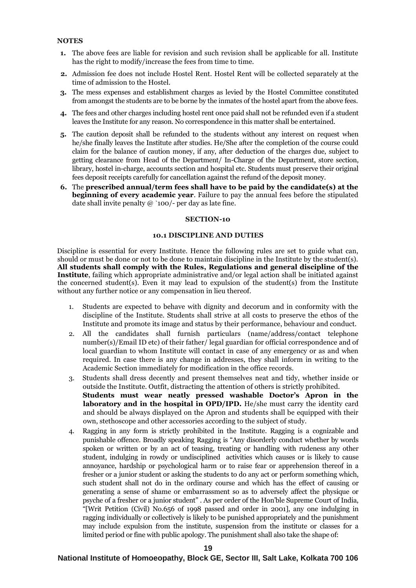#### **NOTES**

- **1.** The above fees are liable for revision and such revision shall be applicable for all. Institute has the right to modify/increase the fees from time to time.
- **2.** Admission fee does not include Hostel Rent. Hostel Rent will be collected separately at the time of admission to the Hostel.
- **3.** The mess expenses and establishment charges as levied by the Hostel Committee constituted from amongst the students are to be borne by the inmates of the hostel apart from the above fees.
- **4.** The fees and other charges including hostel rent once paid shall not be refunded even if a student leaves the Institute for any reason. No correspondence in this matter shall be entertained.
- **5.** The caution deposit shall be refunded to the students without any interest on request when he/she finally leaves the Institute after studies. He/She after the completion of the course could claim for the balance of caution money, if any, after deduction of the charges due, subject to getting clearance from Head of the Department/ In-Charge of the Department, store section, library, hostel in-charge, accounts section and hospital etc. Students must preserve their original fees deposit receipts carefully for cancellation against the refund of the deposit money.
- **6.** The **prescribed annual/term fees shall have to be paid by the candidate(s) at the beginning of every academic year**. Failure to pay the annual fees before the stipulated date shall invite penalty  $\omega$  `100/- per day as late fine.

#### **SECTION-10**

#### **10.1 DISCIPLINE AND DUTIES**

Discipline is essential for every Institute. Hence the following rules are set to guide what can, should or must be done or not to be done to maintain discipline in the Institute by the student(s). **All students shall comply with the Rules, Regulations and general discipline of the Institute**, failing which appropriate administrative and/or legal action shall be initiated against the concerned student(s). Even it may lead to expulsion of the student(s) from the Institute without any further notice or any compensation in lieu thereof.

- 1. Students are expected to behave with dignity and decorum and in conformity with the discipline of the Institute. Students shall strive at all costs to preserve the ethos of the Institute and promote its image and status by their performance, behaviour and conduct.
- 2. All the candidates shall furnish particulars (name/address/contact telephone number(s)/Email ID etc) of their father/ legal guardian for official correspondence and of local guardian to whom Institute will contact in case of any emergency or as and when required. In case there is any change in addresses, they shall inform in writing to the Academic Section immediately for modification in the office records.
- 3. Students shall dress decently and present themselves neat and tidy, whether inside or outside the Institute. Outfit, distracting the attention of others is strictly prohibited. **Students must wear neatly pressed washable Doctor's Apron in the laboratory and in the hospital in OPD/IPD.** He/she must carry the identity card and should be always displayed on the Apron and students shall be equipped with their own, stethoscope and other accessories according to the subject of study.
- 4. Ragging in any form is strictly prohibited in the Institute. Ragging is a cognizable and punishable offence. Broadly speaking Ragging is "Any disorderly conduct whether by words spoken or written or by an act of teasing, treating or handling with rudeness any other student, indulging in rowdy or undisciplined activities which causes or is likely to cause annoyance, hardship or psychological harm or to raise fear or apprehension thereof in a fresher or a junior student or asking the students to do any act or perform something which, such student shall not do in the ordinary course and which has the effect of causing or generating a sense of shame or embarrassment so as to adversely affect the physique or psyche of a fresher or a junior student" . As per order of the Hon'ble Supreme Court of India, "[Writ Petition (Civil) No.656 of 1998 passed and order in 2001], any one indulging in ragging individually or collectively is likely to be punished appropriately and the punishment may include expulsion from the institute, suspension from the institute or classes for a limited period or fine with public apology. The punishment shall also take the shape of: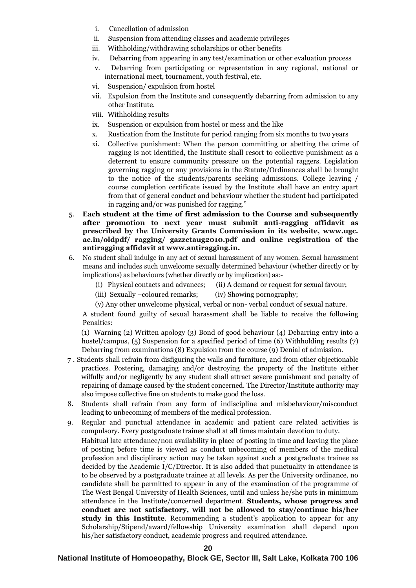- i. Cancellation of admission
- ii. Suspension from attending classes and academic privileges
- iii. Withholding/withdrawing scholarships or other benefits
- iv. Debarring from appearing in any test/examination or other evaluation process
- v. Debarring from participating or representation in any regional, national or international meet, tournament, youth festival, etc.
- vi. Suspension/ expulsion from hostel
- vii. Expulsion from the Institute and consequently debarring from admission to any other Institute.
- viii. Withholding results
- ix. Suspension or expulsion from hostel or mess and the like
- x. Rustication from the Institute for period ranging from six months to two years
- xi. Collective punishment: When the person committing or abetting the crime of ragging is not identified, the Institute shall resort to collective punishment as a deterrent to ensure community pressure on the potential raggers. Legislation governing ragging or any provisions in the Statute/Ordinances shall be brought to the notice of the students/parents seeking admissions. College leaving / course completion certificate issued by the Institute shall have an entry apart from that of general conduct and behaviour whether the student had participated in ragging and/or was punished for ragging."
- 5. **Each student at the time of first admission to the Course and subsequently after promotion to next year must submit anti-ragging affidavit as prescribed by the University Grants Commission in its website, www.ugc. ac.in/oldpdf/ ragging/ gazzetaug2010.pdf and online registration of the antiragging affidavit at www.antiragging.in.**
- 6. No student shall indulge in any act of sexual harassment of any women. Sexual harassment means and includes such unwelcome sexually determined behaviour (whether directly or by implications) as behaviours (whether directly or by implication) as:-
	- (i) Physical contacts and advances; (ii) A demand or request for sexual favour;
	- (iii) Sexually –coloured remarks; (iv) Showing pornography;
	- (v) Any other unwelcome physical, verbal or non- verbal conduct of sexual nature.

A student found guilty of sexual harassment shall be liable to receive the following Penalties:

(1) Warning (2) Written apology (3) Bond of good behaviour (4) Debarring entry into a hostel/campus, (5) Suspension for a specified period of time (6) Withholding results (7) Debarring from examinations (8) Expulsion from the course (9) Denial of admission.

- 7 . Students shall refrain from disfiguring the walls and furniture, and from other objectionable practices. Postering, damaging and/or destroying the property of the Institute either wilfully and/or negligently by any student shall attract severe punishment and penalty of repairing of damage caused by the student concerned. The Director/Institute authority may also impose collective fine on students to make good the loss.
- 8. Students shall refrain from any form of indiscipline and misbehaviour/misconduct leading to unbecoming of members of the medical profession.
- 9. Regular and punctual attendance in academic and patient care related activities is compulsory. Every postgraduate trainee shall at all times maintain devotion to duty. Habitual late attendance/non availability in place of posting in time and leaving the place of posting before time is viewed as conduct unbecoming of members of the medical profession and disciplinary action may be taken against such a postgraduate trainee as decided by the Academic I/C/Director. It is also added that punctuality in attendance is to be observed by a postgraduate trainee at all levels. As per the University ordinance, no candidate shall be permitted to appear in any of the examination of the programme of The West Bengal University of Health Sciences, until and unless he/she puts in minimum attendance in the Institute/concerned department. **Students, whose progress and conduct are not satisfactory, will not be allowed to stay/continue his/her study in this Institute**. Recommending a student's application to appear for any Scholarship/Stipend/award/fellowship University examination shall depend upon his/her satisfactory conduct, academic progress and required attendance.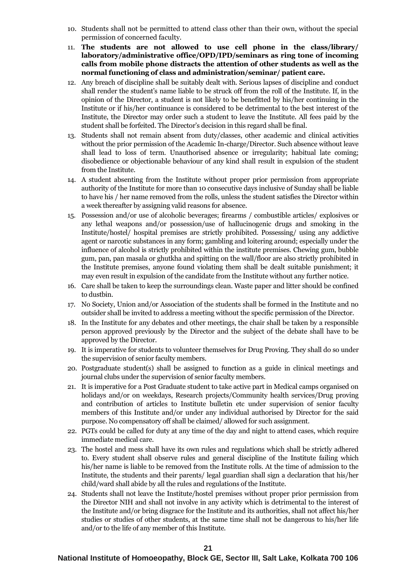- 10. Students shall not be permitted to attend class other than their own, without the special permission of concerned faculty.
- 11. **The students are not allowed to use cell phone in the class/library/ laboratory/administrative office/OPD/IPD/seminars as ring tone of incoming calls from mobile phone distracts the attention of other students as well as the normal functioning of class and administration/seminar/ patient care.**
- 12. Any breach of discipline shall be suitably dealt with. Serious lapses of discipline and conduct shall render the student's name liable to be struck off from the roll of the Institute. If, in the opinion of the Director, a student is not likely to be benefitted by his/her continuing in the Institute or if his/her continuance is considered to be detrimental to the best interest of the Institute, the Director may order such a student to leave the Institute. All fees paid by the student shall be forfeited. The Director's decision in this regard shall be final.
- 13. Students shall not remain absent from duty/classes, other academic and clinical activities without the prior permission of the Academic In-charge/Director. Such absence without leave shall lead to loss of term. Unauthorised absence or irregularity; habitual late coming; disobedience or objectionable behaviour of any kind shall result in expulsion of the student from the Institute.
- 14. A student absenting from the Institute without proper prior permission from appropriate authority of the Institute for more than 10 consecutive days inclusive of Sunday shall be liable to have his / her name removed from the rolls, unless the student satisfies the Director within a week thereafter by assigning valid reasons for absence.
- 15. Possession and/or use of alcoholic beverages; firearms / combustible articles/ explosives or any lethal weapons and/or possession/use of hallucinogenic drugs and smoking in the Institute/hostel/ hospital premises are strictly prohibited. Possessing/ using any addictive agent or narcotic substances in any form; gambling and loitering around; especially under the influence of alcohol is strictly prohibited within the institute premises. Chewing gum, bubble gum, pan, pan masala or ghutkha and spitting on the wall/floor are also strictly prohibited in the Institute premises, anyone found violating them shall be dealt suitable punishment; it may even result in expulsion of the candidate from the Institute without any further notice.
- 16. Care shall be taken to keep the surroundings clean. Waste paper and litter should be confined to dustbin.
- 17. No Society, Union and/or Association of the students shall be formed in the Institute and no outsider shall be invited to address a meeting without the specific permission of the Director.
- 18. In the Institute for any debates and other meetings, the chair shall be taken by a responsible person approved previously by the Director and the subject of the debate shall have to be approved by the Director.
- 19. It is imperative for students to volunteer themselves for Drug Proving. They shall do so under the supervision of senior faculty members.
- 20. Postgraduate student(s) shall be assigned to function as a guide in clinical meetings and journal clubs under the supervision of senior faculty members.
- 21. It is imperative for a Post Graduate student to take active part in Medical camps organised on holidays and/or on weekdays, Research projects/Community health services/Drug proving and contribution of articles to Institute bulletin etc under supervision of senior faculty members of this Institute and/or under any individual authorised by Director for the said purpose. No compensatory off shall be claimed/ allowed for such assignment.
- 22. PGTs could be called for duty at any time of the day and night to attend cases, which require immediate medical care.
- 23. The hostel and mess shall have its own rules and regulations which shall be strictly adhered to. Every student shall observe rules and general discipline of the Institute failing which his/her name is liable to be removed from the Institute rolls. At the time of admission to the Institute, the students and their parents/ legal guardian shall sign a declaration that his/her child/ward shall abide by all the rules and regulations of the Institute.
- 24. Students shall not leave the Institute/hostel premises without proper prior permission from the Director NIH and shall not involve in any activity which is detrimental to the interest of the Institute and/or bring disgrace for the Institute and its authorities, shall not affect his/her studies or studies of other students, at the same time shall not be dangerous to his/her life and/or to the life of any member of this Institute.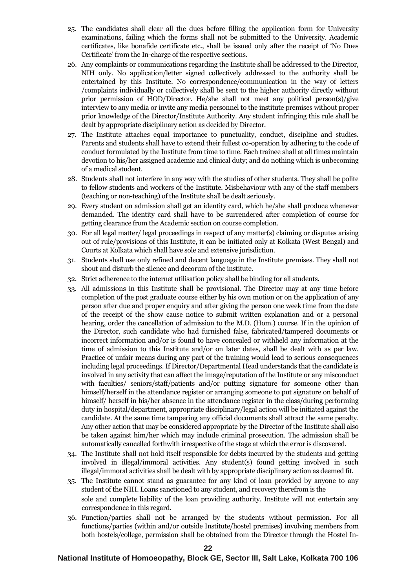- 25. The candidates shall clear all the dues before filling the application form for University examinations, failing which the forms shall not be submitted to the University. Academic certificates, like bonafide certificate etc., shall be issued only after the receipt of 'No Dues Certificate' from the In-charge of the respective sections.
- 26. Any complaints or communications regarding the Institute shall be addressed to the Director, NIH only. No application/letter signed collectively addressed to the authority shall be entertained by this Institute. No correspondence/communication in the way of letters /complaints individually or collectively shall be sent to the higher authority directly without prior permission of HOD/Director. He/she shall not meet any political person(s)/give interview to any media or invite any media personnel to the institute premises without proper prior knowledge of the Director/Institute Authority. Any student infringing this rule shall be dealt by appropriate disciplinary action as decided by Director.
- 27. The Institute attaches equal importance to punctuality, conduct, discipline and studies. Parents and students shall have to extend their fullest co-operation by adhering to the code of conduct formulated by the Institute from time to time. Each trainee shall at all times maintain devotion to his/her assigned academic and clinical duty; and do nothing which is unbecoming of a medical student.
- 28. Students shall not interfere in any way with the studies of other students. They shall be polite to fellow students and workers of the Institute. Misbehaviour with any of the staff members (teaching or non-teaching) of the Institute shall be dealt seriously.
- 29. Every student on admission shall get an identity card, which he/she shall produce whenever demanded. The identity card shall have to be surrendered after completion of course for getting clearance from the Academic section on course completion.
- 30. For all legal matter/ legal proceedings in respect of any matter(s) claiming or disputes arising out of rule/provisions of this Institute, it can be initiated only at Kolkata (West Bengal) and Courts at Kolkata which shall have sole and extensive jurisdiction.
- 31. Students shall use only refined and decent language in the Institute premises. They shall not shout and disturb the silence and decorum of the institute.
- 32. Strict adherence to the internet utilisation policy shall be binding for all students.
- 33. All admissions in this Institute shall be provisional. The Director may at any time before completion of the post graduate course either by his own motion or on the application of any person after due and proper enquiry and after giving the person one week time from the date of the receipt of the show cause notice to submit written explanation and or a personal hearing, order the cancellation of admission to the M.D. (Hom.) course. If in the opinion of the Director, such candidate who had furnished false, fabricated/tampered documents or incorrect information and/or is found to have concealed or withheld any information at the time of admission to this Institute and/or on later dates, shall be dealt with as per law. Practice of unfair means during any part of the training would lead to serious consequences including legal proceedings. If Director/Departmental Head understands that the candidate is involved in any activity that can affect the image/reputation of the Institute or any misconduct with faculties/ seniors/staff/patients and/or putting signature for someone other than himself/herself in the attendance register or arranging someone to put signature on behalf of himself/ herself in his/her absence in the attendance register in the class/during performing duty in hospital/department, appropriate disciplinary/legal action will be initiated against the candidate. At the same time tampering any official documents shall attract the same penalty. Any other action that may be considered appropriate by the Director of the Institute shall also be taken against him/her which may include criminal prosecution. The admission shall be automatically cancelled forthwith irrespective of the stage at which the error is discovered.
- 34. The Institute shall not hold itself responsible for debts incurred by the students and getting involved in illegal/immoral activities. Any student(s) found getting involved in such illegal/immoral activities shall be dealt with by appropriate disciplinary action as deemed fit.
- 35. The Institute cannot stand as guarantee for any kind of loan provided by anyone to any student of the NIH. Loans sanctioned to any student, and recovery therefrom is the sole and complete liability of the loan providing authority. Institute will not entertain any correspondence in this regard.
- 36. Function/parties shall not be arranged by the students without permission. For all functions/parties (within and/or outside Institute/hostel premises) involving members from both hostels/college, permission shall be obtained from the Director through the Hostel In-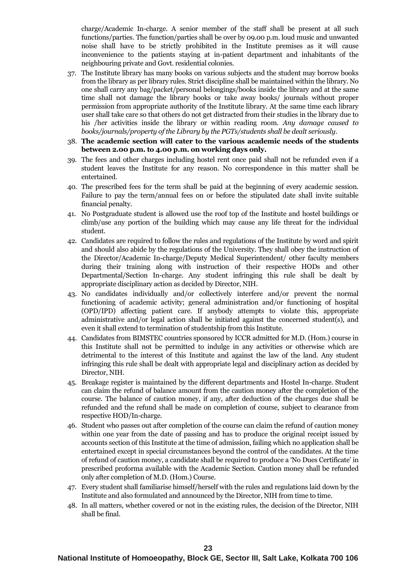charge/Academic In-charge. A senior member of the staff shall be present at all such functions/parties. The function/parties shall be over by 09.00 p.m. loud music and unwanted noise shall have to be strictly prohibited in the Institute premises as it will cause inconvenience to the patients staying at in-patient department and inhabitants of the neighbouring private and Govt. residential colonies.

- 37. The Institute library has many books on various subjects and the student may borrow books from the library as per library rules. Strict discipline shall be maintained within the library. No one shall carry any bag/packet/personal belongings/books inside the library and at the same time shall not damage the library books or take away books/ journals without proper permission from appropriate authority of the Institute library. At the same time each library user shall take care so that others do not get distracted from their studies in the library due to his /her activities inside the library or within reading room. *Any damage caused to books/journals/property of the Library by the PGTs/students shall be dealt seriously*.
- 38. **The academic section will cater to the various academic needs of the students between 2.00 p.m. to 4.00 p.m. on working days only.**
- 39. The fees and other charges including hostel rent once paid shall not be refunded even if a student leaves the Institute for any reason. No correspondence in this matter shall be entertained.
- 40. The prescribed fees for the term shall be paid at the beginning of every academic session. Failure to pay the term/annual fees on or before the stipulated date shall invite suitable financial penalty.
- 41. No Postgraduate student is allowed use the roof top of the Institute and hostel buildings or climb/use any portion of the building which may cause any life threat for the individual student.
- 42. Candidates are required to follow the rules and regulations of the Institute by word and spirit and should also abide by the regulations of the University. They shall obey the instruction of the Director/Academic In-charge/Deputy Medical Superintendent/ other faculty members during their training along with instruction of their respective HODs and other Departmental/Section In-charge. Any student infringing this rule shall be dealt by appropriate disciplinary action as decided by Director, NIH.
- 43. No candidates individually and/or collectively interfere and/or prevent the normal functioning of academic activity; general administration and/or functioning of hospital (OPD/IPD) affecting patient care. If anybody attempts to violate this, appropriate administrative and/or legal action shall be initiated against the concerned student(s), and even it shall extend to termination of studentship from this Institute.
- 44. Candidates from BIMSTEC countries sponsored by ICCR admitted for M.D. (Hom.) course in this Institute shall not be permitted to indulge in any activities or otherwise which are detrimental to the interest of this Institute and against the law of the land. Any student infringing this rule shall be dealt with appropriate legal and disciplinary action as decided by Director, NIH.
- 45. Breakage register is maintained by the different departments and Hostel In-charge. Student can claim the refund of balance amount from the caution money after the completion of the course. The balance of caution money, if any, after deduction of the charges due shall be refunded and the refund shall be made on completion of course, subject to clearance from respective HOD/In-charge.
- 46. Student who passes out after completion of the course can claim the refund of caution money within one year from the date of passing and has to produce the original receipt issued by accounts section of this Institute at the time of admission, failing which no application shall be entertained except in special circumstances beyond the control of the candidates. At the time of refund of caution money, a candidate shall be required to produce a 'No Dues Certificate' in prescribed proforma available with the Academic Section. Caution money shall be refunded only after completion of M.D. (Hom.) Course.
- 47. Every student shall familiarise himself/herself with the rules and regulations laid down by the Institute and also formulated and announced by the Director, NIH from time to time.
- 48. In all matters, whether covered or not in the existing rules, the decision of the Director, NIH shall be final.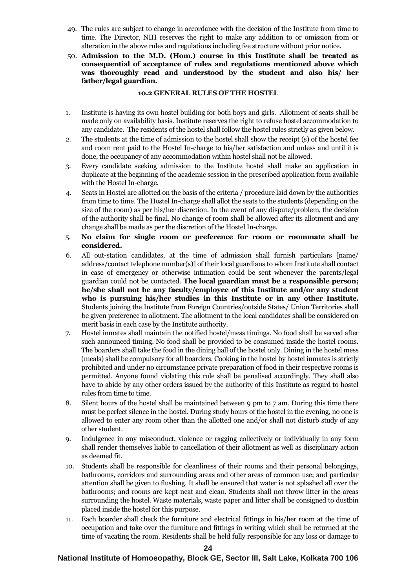- 49. The rules are subject to change in accordance with the decision of the Institute from time to time. The Director, NIH reserves the right to make any addition to or omission from or alteration in the above rules and regulations including fee structure without prior notice.
- 50. **Admission to the M.D. (Hom.) course in this Institute shall be treated as consequential of acceptance of rules and regulations mentioned above which was thoroughly read and understood by the student and also his/ her father/legal guardian.**

#### **10.2 GENERAL RULES OF THE HOSTEL**

- 1. Institute is having its own hostel building for both boys and girls. Allotment of seats shall be made only on availability basis. Institute reserves the right to refuse hostel accommodation to any candidate. The residents of the hostel shall follow the hostel rules strictly as given below.
- 2. The students at the time of admission to the hostel shall show the receipt (s) of the hostel fee and room rent paid to the Hostel In-charge to his/her satisfaction and unless and until it is done, the occupancy of any accommodation within hostel shall not be allowed.
- 3. Every candidate seeking admission to the Institute hostel shall make an application in duplicate at the beginning of the academic session in the prescribed application form available with the Hostel In-charge.
- 4. Seats in Hostel are allotted on the basis of the criteria / procedure laid down by the authorities from time to time. The Hostel In-charge shall allot the seats to the students (depending on the size of the room) as per his/her discretion. In the event of any dispute/problem, the decision of the authority shall be final. No change of room shall be allowed after its allotment and any change shall be made as per the discretion of the Hostel In-charge.
- 5. **No claim for single room or preference for room or roommate shall be considered.**
- 6. All out-station candidates, at the time of admission shall furnish particulars [name/ address/contact telephone number(s)] of their local guardians to whom Institute shall contact in case of emergency or otherwise intimation could be sent whenever the parents/legal guardian could not be contacted. **The local guardian must be a responsible person; he/she shall not be any faculty/employee of this Institute and/or any student who is pursuing his/her studies in this Institute or in any other Institute.** Students joining the Institute from Foreign Countries/outside States/ Union Territories shall be given preference in allotment. The allotment to the local candidates shall be considered on merit basis in each case by the Institute authority.
- 7. Hostel inmates shall maintain the notified hostel/mess timings. No food shall be served after such announced timing. No food shall be provided to be consumed inside the hostel rooms. The boarders shall take the food in the dining hall of the hostel only. Dining in the hostel mess (meals) shall be compulsory for all boarders. Cooking in the hostel by hostel inmates is strictly prohibited and under no circumstance private preparation of food in their respective rooms is permitted. Anyone found violating this rule shall be penalised accordingly. They shall also have to abide by any other orders issued by the authority of this Institute as regard to hostel rules from time to time.
- 8. Silent hours of the hostel shall be maintained between 9 pm to 7 am. During this time there must be perfect silence in the hostel. During study hours of the hostel in the evening, no one is allowed to enter any room other than the allotted one and/or shall not disturb study of any other student.
- 9. Indulgence in any misconduct, violence or ragging collectively or individually in any form shall render themselves liable to cancellation of their allotment as well as disciplinary action as deemed fit.
- 10. Students shall be responsible for cleanliness of their rooms and their personal belongings, bathrooms, corridors and surrounding areas and other areas of common use; and particular attention shall be given to flushing. It shall be ensured that water is not splashed all over the bathrooms; and rooms are kept neat and clean. Students shall not throw litter in the areas surrounding the hostel. Waste materials, waste paper and litter shall be consigned to dustbin placed inside the hostel for this purpose.
- 11. Each boarder shall check the furniture and electrical fittings in his/her room at the time of occupation and take over the furniture and fittings in writing which shall be returned at the time of vacating the room. Residents shall be held fully responsible for any loss or damage to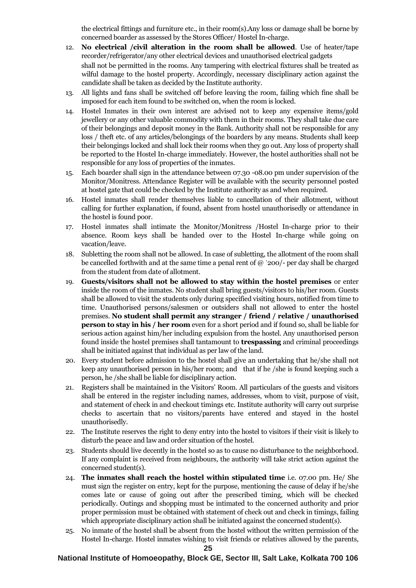the electrical fittings and furniture etc., in their room(s).Any loss or damage shall be borne by concerned boarder as assessed by the Stores Officer/ Hostel In-charge.

- 12. **No electrical /civil alteration in the room shall be allowed**. Use of heater/tape recorder/refrigerator/any other electrical devices and unauthorised electrical gadgets shall not be permitted in the rooms. Any tampering with electrical fixtures shall be treated as wilful damage to the hostel property. Accordingly, necessary disciplinary action against the candidate shall be taken as decided by the Institute authority.
- 13. All lights and fans shall be switched off before leaving the room, failing which fine shall be imposed for each item found to be switched on, when the room is locked.
- 14. Hostel Inmates in their own interest are advised not to keep any expensive items/gold jewellery or any other valuable commodity with them in their rooms. They shall take due care of their belongings and deposit money in the Bank. Authority shall not be responsible for any loss / theft etc. of any articles/belongings of the boarders by any means. Students shall keep their belongings locked and shall lock their rooms when they go out. Any loss of property shall be reported to the Hostel In-charge immediately. However, the hostel authorities shall not be responsible for any loss of properties of the inmates.
- 15. Each boarder shall sign in the attendance between 07.30 -08.00 pm under supervision of the Monitor/Monitress. Attendance Register will be available with the security personnel posted at hostel gate that could be checked by the Institute authority as and when required.
- 16. Hostel inmates shall render themselves liable to cancellation of their allotment, without calling for further explanation, if found, absent from hostel unauthorisedly or attendance in the hostel is found poor.
- 17. Hostel inmates shall intimate the Monitor/Monitress /Hostel In-charge prior to their absence. Room keys shall be handed over to the Hostel In-charge while going on vacation/leave.
- 18. Subletting the room shall not be allowed. In case of subletting, the allotment of the room shall be cancelled forthwith and at the same time a penal rent of  $@$  `200/- per day shall be charged from the student from date of allotment.
- 19. **Guests/visitors shall not be allowed to stay within the hostel premises** or enter inside the room of the inmates. No student shall bring guests/visitors to his/her room. Guests shall be allowed to visit the students only during specified visiting hours, notified from time to time. Unauthorised persons/salesmen or outsiders shall not allowed to enter the hostel premises. **No student shall permit any stranger / friend / relative / unauthorised person to stay in his / her room** even for a short period and if found so, shall be liable for serious action against him/her including expulsion from the hostel. Any unauthorised person found inside the hostel premises shall tantamount to **trespassing** and criminal proceedings shall be initiated against that individual as per law of the land.
- 20. Every student before admission to the hostel shall give an undertaking that he/she shall not keep any unauthorised person in his/her room; and that if he /she is found keeping such a person, he /she shall be liable for disciplinary action.
- 21. Registers shall be maintained in the Visitors' Room. All particulars of the guests and visitors shall be entered in the register including names, addresses, whom to visit, purpose of visit, and statement of check in and checkout timings etc. Institute authority will carry out surprise checks to ascertain that no visitors/parents have entered and stayed in the hostel unauthorisedly.
- 22. The Institute reserves the right to deny entry into the hostel to visitors if their visit is likely to disturb the peace and law and order situation of the hostel.
- 23. Students should live decently in the hostel so as to cause no disturbance to the neighborhood. If any complaint is received from neighbours, the authority will take strict action against the concerned student(s).
- 24. **The inmates shall reach the hostel within stipulated time** i.e. 07.00 pm. He/ She must sign the register on entry, kept for the purpose, mentioning the cause of delay if he/she comes late or cause of going out after the prescribed timing, which will be checked periodically. Outings and shopping must be intimated to the concerned authority and prior proper permission must be obtained with statement of check out and check in timings, failing which appropriate disciplinary action shall be initiated against the concerned student(s).
- 25. No inmate of the hostel shall be absent from the hostel without the written permission of the Hostel In-charge. Hostel inmates wishing to visit friends or relatives allowed by the parents,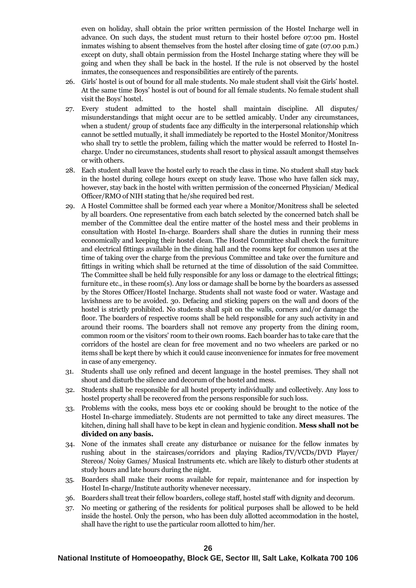even on holiday, shall obtain the prior written permission of the Hostel Incharge well in advance. On such days, the student must return to their hostel before 07:00 pm. Hostel inmates wishing to absent themselves from the hostel after closing time of gate (07.00 p.m.) except on duty, shall obtain permission from the Hostel Incharge stating where they will be going and when they shall be back in the hostel. If the rule is not observed by the hostel inmates, the consequences and responsibilities are entirely of the parents.

- 26. Girls' hostel is out of bound for all male students. No male student shall visit the Girls' hostel. At the same time Boys' hostel is out of bound for all female students. No female student shall visit the Boys' hostel.
- 27. Every student admitted to the hostel shall maintain discipline. All disputes/ misunderstandings that might occur are to be settled amicably. Under any circumstances, when a student/ group of students face any difficulty in the interpersonal relationship which cannot be settled mutually, it shall immediately be reported to the Hostel Monitor/Monitress who shall try to settle the problem, failing which the matter would be referred to Hostel Incharge. Under no circumstances, students shall resort to physical assault amongst themselves or with others.
- 28. Each student shall leave the hostel early to reach the class in time. No student shall stay back in the hostel during college hours except on study leave. Those who have fallen sick may, however, stay back in the hostel with written permission of the concerned Physician/ Medical Officer/RMO of NIH stating that he/she required bed rest.
- 29. A Hostel Committee shall be formed each year where a Monitor/Monitress shall be selected by all boarders. One representative from each batch selected by the concerned batch shall be member of the Committee deal the entire matter of the hostel mess and their problems in consultation with Hostel In-charge. Boarders shall share the duties in running their mess economically and keeping their hostel clean. The Hostel Committee shall check the furniture and electrical fittings available in the dining hall and the rooms kept for common uses at the time of taking over the charge from the previous Committee and take over the furniture and fittings in writing which shall be returned at the time of dissolution of the said Committee. The Committee shall be held fully responsible for any loss or damage to the electrical fittings; furniture etc., in these room(s). Any loss or damage shall be borne by the boarders as assessed by the Stores Officer/Hostel Incharge. Students shall not waste food or water. Wastage and lavishness are to be avoided. 30. Defacing and sticking papers on the wall and doors of the hostel is strictly prohibited. No students shall spit on the walls, corners and/or damage the floor. The boarders of respective rooms shall be held responsible for any such activity in and around their rooms. The boarders shall not remove any property from the dining room, common room or the visitors' room to their own rooms. Each boarder has to take care that the corridors of the hostel are clean for free movement and no two wheelers are parked or no items shall be kept there by which it could cause inconvenience for inmates for free movement in case of any emergency.
- 31. Students shall use only refined and decent language in the hostel premises. They shall not shout and disturb the silence and decorum of the hostel and mess.
- 32. Students shall be responsible for all hostel property individually and collectively. Any loss to hostel property shall be recovered from the persons responsible for such loss.
- 33. Problems with the cooks, mess boys etc or cooking should be brought to the notice of the Hostel In-charge immediately. Students are not permitted to take any direct measures. The kitchen, dining hall shall have to be kept in clean and hygienic condition. **Mess shall not be divided on any basis.**
- 34. None of the inmates shall create any disturbance or nuisance for the fellow inmates by rushing about in the staircases/corridors and playing Radios/TV/VCDs/DVD Player/ Stereos/ Noisy Games/ Musical Instruments etc. which are likely to disturb other students at study hours and late hours during the night.
- 35. Boarders shall make their rooms available for repair, maintenance and for inspection by Hostel In-charge/Institute authority whenever necessary.
- 36. Boarders shall treat their fellow boarders, college staff, hostel staff with dignity and decorum.
- 37. No meeting or gathering of the residents for political purposes shall be allowed to be held inside the hostel. Only the person, who has been duly allotted accommodation in the hostel, shall have the right to use the particular room allotted to him/her.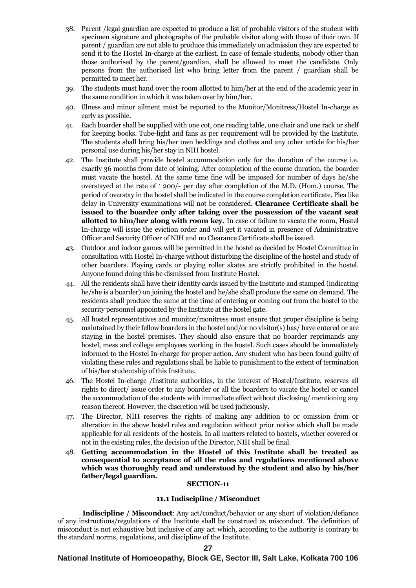- 38. Parent /legal guardian are expected to produce a list of probable visitors of the student with specimen signature and photographs of the probable visitor along with those of their own. If parent / guardian are not able to produce this immediately on admission they are expected to send it to the Hostel In-charge at the earliest. In case of female students, nobody other than those authorised by the parent/guardian, shall be allowed to meet the candidate. Only persons from the authorised list who bring letter from the parent / guardian shall be permitted to meet her.
- 39. The students must hand over the room allotted to him/her at the end of the academic year in the same condition in which it was taken over by him/her.
- 40. Illness and minor ailment must be reported to the Monitor/Monitress/Hostel In-charge as early as possible.
- 41. Each boarder shall be supplied with one cot, one reading table, one chair and one rack or shelf for keeping books. Tube-light and fans as per requirement will be provided by the Institute. The students shall bring his/her own beddings and clothes and any other article for his/her personal use during his/her stay in NIH hostel.
- 42. The Institute shall provide hostel accommodation only for the duration of the course i.e. exactly 36 months from date of joining. After completion of the course duration, the boarder must vacate the hostel. At the same time fine will be imposed for number of days he/she overstayed at the rate of ` 200/- per day after completion of the M.D. (Hom.) course. The period of overstay in the hostel shall be indicated in the course completion certificate. Plea like delay in University examinations will not be considered. **Clearance Certificate shall be issued to the boarder only after taking over the possession of the vacant seat allotted to him/her along with room key.** In case of failure to vacate the room, Hostel In-charge will issue the eviction order and will get it vacated in presence of Administrative Officer and Security Officer of NIH and no Clearance Certificate shall be issued.
- 43. Outdoor and indoor games will be permitted in the hostel as decided by Hostel Committee in consultation with Hostel In-charge without disturbing the discipline of the hostel and study of other boarders. Playing cards or playing roller skates are strictly prohibited in the hostel. Anyone found doing this be dismissed from Institute Hostel.
- 44. All the residents shall have their identity cards issued by the Institute and stamped (indicating he/she is a boarder) on joining the hostel and he/she shall produce the same on demand. The residents shall produce the same at the time of entering or coming out from the hostel to the security personnel appointed by the Institute at the hostel gate.
- 45. All hostel representatives and monitor/monitress must ensure that proper discipline is being maintained by their fellow boarders in the hostel and/or no visitor(s) has/ have entered or are staying in the hostel premises. They should also ensure that no boarder reprimands any hostel, mess and college employees working in the hostel. Such cases should be immediately informed to the Hostel In-charge for proper action. Any student who has been found guilty of violating these rules and regulations shall be liable to punishment to the extent of termination of his/her studentship of this Institute.
- 46. The Hostel In-charge /Institute authorities, in the interest of Hostel/Institute, reserves all rights to direct/ issue order to any boarder or all the boarders to vacate the hostel or cancel the accommodation of the students with immediate effect without disclosing/ mentioning any reason thereof. However, the discretion will be used judiciously.
- 47. The Director, NIH reserves the rights of making any addition to or omission from or alteration in the above hostel rules and regulation without prior notice which shall be made applicable for all residents of the hostels. In all matters related to hostels, whether covered or not in the existing rules, the decision of the Director, NIH shall be final.
- 48. **Getting accommodation in the Hostel of this Institute shall be treated as consequential to acceptance of all the rules and regulations mentioned above which was thoroughly read and understood by the student and also by his/her father/legal guardian.**

#### **SECTION-11**

#### **11.1 Indiscipline / Misconduct**

**Indiscipline / Misconduct**: Any act/conduct/behavior or any short of violation/defiance of any instructions/regulations of the Institute shall be construed as misconduct. The definition of misconduct is not exhaustive but inclusive of any act which, according to the authority is contrary to the standard norms, regulations, and discipline of the Institute.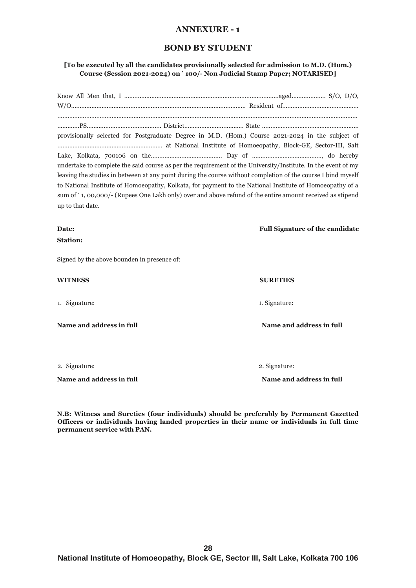# **ANNEXURE - 1**

# **BOND BY STUDENT**

### **[To be executed by all the candidates provisionally selected for admission to M.D. (Hom.) Course (Session 2021-2024) on ` 100/- Non Judicial Stamp Paper; NOTARISED]**

|                  | provisionally selected for Postgraduate Degree in M.D. (Hom.) Course 2021-2024 in the subject of             |  |
|------------------|--------------------------------------------------------------------------------------------------------------|--|
|                  |                                                                                                              |  |
|                  |                                                                                                              |  |
|                  | undertake to complete the said course as per the requirement of the University/Institute. In the event of my |  |
|                  | leaving the studies in between at any point during the course without completion of the course I bind myself |  |
|                  | to National Institute of Homoeopathy, Kolkata, for payment to the National Institute of Homoeopathy of a     |  |
|                  | sum of `1, 00,000/- (Rupees One Lakh only) over and above refund of the entire amount received as stipend    |  |
| up to that date. |                                                                                                              |  |
|                  |                                                                                                              |  |

#### **Date:** Full Signature of the candidate

**Station:**

Signed by the above bounden in presence of:

# **WITNESS SURETIES**

1. Signature: 1. Signature: 1. Signature: 1. Signature: 1. Signature: 1. Signature: 1. Signature: 1. Signature: 1. Signature: 1. Signature: 1. Signature: 1. Signature: 1. Signature: 1. Signature: 1. Signature: 1. Signature

**Name and address in full Name and address in full**

2. Signature: 2. Signature:

**Name and address in full Name and address in full**

**N.B: Witness and Sureties (four individuals) should be preferably by Permanent Gazetted Officers or individuals having landed properties in their name or individuals in full time permanent service with PAN.**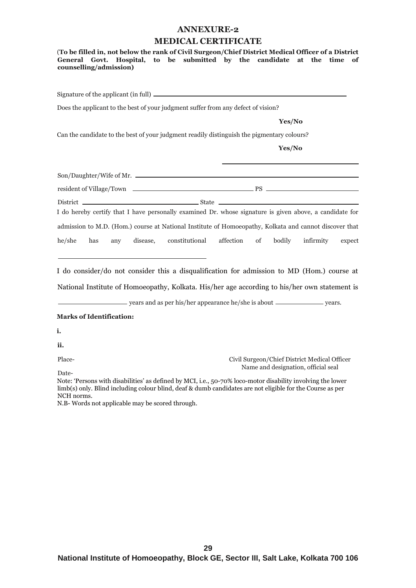#### **ANNEXURE-2**

#### **MEDICAL CERTIFICATE**

(**To be filled in, not below the rank of Civil Surgeon/Chief District Medical Officer of a District General Govt. Hospital, to be submitted by the candidate at the time of counselling/admission)** Signature of the applicant (in full) Does the applicant to the best of your judgment suffer from any defect of vision?  **Yes/No** Can the candidate to the best of your judgment readily distinguish the pigmentary colours? **Yes/No** I do hereby certify that I have personally examined Dr. whose signature is given above, a candidate for admission to M.D. (Hom.) course at National Institute of Homoeopathy, Kolkata and cannot discover that he/she has any disease, constitutional affection of bodily infirmity expect Son/Daughter/Wife of Mr. resident of Village/Town PS  $\begin{tabular}{c} \bf District \end{tabular} \begin{tabular}{c} \bf{D} is true \end{tabular} \begin{tabular}{c} \bf{D} is true \end{tabular} \begin{tabular}{c} \bf{D} is true \end{tabular} \begin{tabular}{c} \bf{D} is true \end{tabular} \end{tabular} \begin{tabular}{c} \bf{D} is true \end{tabular} \begin{tabular}{c} \bf{D} is true \end{tabular} \end{tabular} \begin{tabular}{c} \bf{D} is true \end{tabular} \begin{tabular}{c} \bf{D} is true \end{tabular} \end{tabular} \begin{tabular}{c} \bf{D} is true \end$ 

I do consider/do not consider this a disqualification for admission to MD (Hom.) course at

National Institute of Homoeopathy, Kolkata. His/her age according to his/her own statement is

years and as per his/her appearance he/she is about \_\_\_\_\_\_\_\_\_\_\_\_\_\_\_ years.

#### **Marks of Identification:**

**i.** 

**ii.**

Place-

Date-

Civil Surgeon/Chief District Medical Officer Name and designation, official seal

Note: 'Persons with disabilities' as defined by MCI, i.e., 50-70% loco-motor disability involving the lower limb(s) only. Blind including colour blind, deaf & dumb candidates are not eligible for the Course as per NCH norms.

N.B- Words not applicable may be scored through.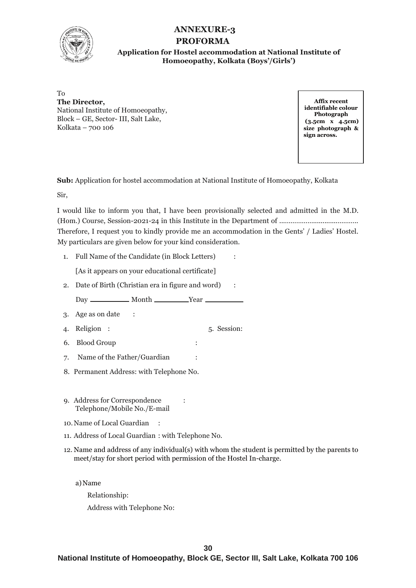

# **ANNEXURE-3 PROFORMA**

# **Application for Hostel accommodation at National Institute of Homoeopathy, Kolkata (Boys'/Girls')**

To **The Director,** National Institute of Homoeopathy, Block – GE, Sector- III, Salt Lake, Kolkata – 700 106

**Affix recent identifiable colour Photograph (3.5cm x 4.5cm) size photograph & sign across.**

**Sub:** Application for hostel accommodation at National Institute of Homoeopathy, Kolkata

Sir,

I would like to inform you that, I have been provisionally selected and admitted in the M.D. (Hom.) Course, Session-2021-24 in this Institute in the Department of ...…………….............……….. Therefore, I request you to kindly provide me an accommodation in the Gents' / Ladies' Hostel. My particulars are given below for your kind consideration.

1. Full Name of the Candidate (in Block Letters) :

[As it appears on your educational certificate]

2. Date of Birth (Christian era in figure and word) :

Day Month Year

- 3. Age as on date :
- 4. Religion : 5. Session:
- 6. Blood Group :
- 7. Name of the Father/Guardian :
- 8. Permanent Address: with Telephone No.
- 9. Address for Correspondence : Telephone/Mobile No./E-mail
- 10.Name of Local Guardian :
- 11. Address of Local Guardian : with Telephone No.
- 12. Name and address of any individual(s) with whom the student is permitted by the parents to meet/stay for short period with permission of the Hostel In-charge.

a)Name

Relationship: Address with Telephone No: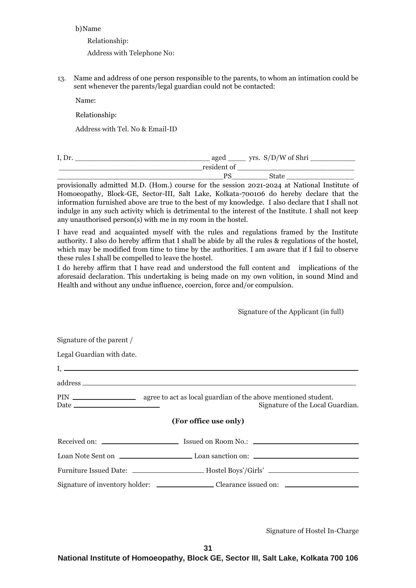#### b)Name

Relationship:

Address with Telephone No:

13. Name and address of one person responsible to the parents, to whom an intimation could be sent whenever the parents/legal guardian could not be contacted:

Name:

Relationship:

Address with Tel. No & Email-ID

| I, D <sub>1</sub> | aged        | yrs. $S/D/W$ of Shri |  |
|-------------------|-------------|----------------------|--|
|                   | resident of |                      |  |
|                   |             |                      |  |

provisionally admitted M.D. (Hom.) course for the session 2021-2024 at National Institute of Homoeopathy, Block-GE, Sector-III, Salt Lake, Kolkata-700106 do hereby declare that the information furnished above are true to the best of my knowledge. I also declare that I shall not indulge in any such activity which is detrimental to the interest of the Institute. I shall not keep any unauthorised person(s) with me in my room in the hostel.

I have read and acquainted myself with the rules and regulations framed by the Institute authority. I also do hereby affirm that I shall be abide by all the rules & regulations of the hostel, which may be modified from time to time by the authorities. I am aware that if I fail to observe these rules I shall be compelled to leave the hostel.

I do hereby affirm that I have read and understood the full content and implications of the aforesaid declaration. This undertaking is being made on my own volition, in sound Mind and Health and without any undue influence, coercion, force and/or compulsion.

#### Signature of the Applicant (in full)

| Signature of the parent / |                                                                                   |
|---------------------------|-----------------------------------------------------------------------------------|
| Legal Guardian with date. |                                                                                   |
|                           |                                                                                   |
|                           |                                                                                   |
|                           | Signature of the Local Guardian.                                                  |
|                           | (For office use only)                                                             |
|                           |                                                                                   |
|                           |                                                                                   |
|                           | Furniture Issued Date: ______________________Hostel Boys'/Girls' ________________ |
|                           |                                                                                   |

Signature of Hostel In-Charge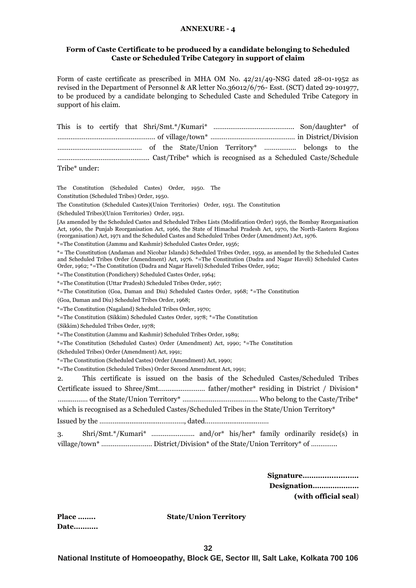#### **ANNEXURE - 4**

#### **Form of Caste Certificate to be produced by a candidate belonging to Scheduled Caste or Scheduled Tribe Category in support of claim**

Form of caste certificate as prescribed in MHA OM No. 42/21/49-NSG dated 28-01-1952 as revised in the Department of Personnel & AR letter No.36012/6/76- Esst. (SCT) dated 29-101977, to be produced by a candidate belonging to Scheduled Caste and Scheduled Tribe Category in support of his claim.

| Tribe* under: |  |  |  |  |  |  |  |
|---------------|--|--|--|--|--|--|--|

The Constitution (Scheduled Castes) Order, 1950. The

Constitution (Scheduled Tribes) Order, 1950.

The Constitution (Scheduled Castes)(Union Territories) Order, 1951. The Constitution

(Scheduled Tribes)(Union Territories) Order, 1951.

[As amended by the Scheduled Castes and Scheduled Tribes Lists (Modification Order) 1956, the Bombay Reorganisation Act, 1960, the Punjab Reorganisation Act, 1966, the State of Himachal Pradesh Act, 1970, the North-Eastern Regions (reorganisation) Act, 1971 and the Scheduled Castes and Scheduled Tribes Order (Amendment) Act, 1976.

\*=The Constitution (Jammu and Kashmir) Scheduled Castes Order, 1956;

\*= The Constitution (Andaman and Nicobar Islands) Scheduled Tribes Order, 1959, as amended by the Scheduled Castes and Scheduled Tribes Order (Amendment) Act, 1976. \*=The Constitution (Dadra and Nagar Haveli) Scheduled Castes Order, 1962; \*=The Constitution (Dadra and Nagar Haveli) Scheduled Tribes Order, 1962;

\*=The Constitution (Pondichery) Scheduled Castes Order, 1964;

\*=The Constitution (Uttar Pradesh) Scheduled Tribes Order, 1967;

\*=The Constitution (Goa, Daman and Diu) Scheduled Castes Order, 1968; \*=The Constitution

(Goa, Daman and Diu) Scheduled Tribes Order, 1968;

\*=The Constitution (Nagaland) Scheduled Tribes Order, 1970;

\*=The Constitution (Sikkim) Scheduled Castes Order, 1978; \*=The Constitution

(Sikkim) Scheduled Tribes Order, 1978;

\*=The Constitution (Jammu and Kashmir) Scheduled Tribes Order, 1989;

\*=The Constitution (Scheduled Castes) Order (Amendment) Act, 1990; \*=The Constitution

(Scheduled Tribes) Order (Amendment) Act, 1991;

\*=The Constitution (Scheduled Castes) Order (Amendment) Act, 1990;

\*=The Constitution (Scheduled Tribes) Order Second Amendment Act, 1991;

2. This certificate is issued on the basis of the Scheduled Castes/Scheduled Tribes Certificate issued to Shree/Smt.….........………… father/mother\* residing in District / Division\* …....……… of the State/Union Territory\* …………………………………. Who belong to the Caste/Tribe\* which is recognised as a Scheduled Castes/Scheduled Tribes in the State/Union Territory\*

Issued by the ……….......................…………., dated………...................……

3. Shri/Smt.\*/Kumari\* ………………….. and/or\* his/her\* family ordinarily reside(s) in village/town\* ……………………… District/Division\* of the State/Union Territory\* of …………..

> **Signature………............…. Designation………………… (with official seal**)

**Place …….. State/Union Territory**

**Date………..**

**32**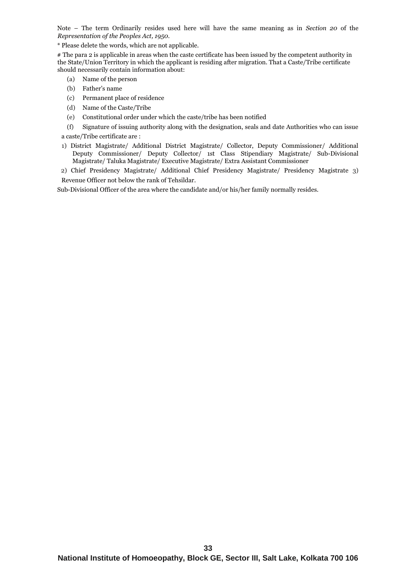Note – The term Ordinarily resides used here will have the same meaning as in *Section 20* of the *Representation of the Peoples Act, 1950.*

\* Please delete the words, which are not applicable.

# The para 2 is applicable in areas when the caste certificate has been issued by the competent authority in the State/Union Territory in which the applicant is residing after migration. That a Caste/Tribe certificate should necessarily contain information about:

- (a) Name of the person
- (b) Father's name
- (c) Permanent place of residence
- (d) Name of the Caste/Tribe
- (e) Constitutional order under which the caste/tribe has been notified
- (f) Signature of issuing authority along with the designation, seals and date Authorities who can issue a caste/Tribe certificate are :

1) District Magistrate/ Additional District Magistrate/ Collector, Deputy Commissioner/ Additional Deputy Commissioner/ Deputy Collector/ 1st Class Stipendiary Magistrate/ Sub-Divisional Magistrate/ Taluka Magistrate/ Executive Magistrate/ Extra Assistant Commissioner

2) Chief Presidency Magistrate/ Additional Chief Presidency Magistrate/ Presidency Magistrate 3) Revenue Officer not below the rank of Tehsildar.

Sub-Divisional Officer of the area where the candidate and/or his/her family normally resides.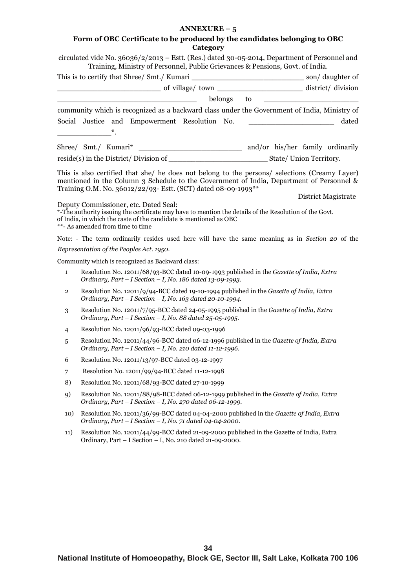# **Form of OBC Certificate to be produced by the candidates belonging to OBC Category**

|                | circulated vide No. $36036/2/2013$ – Estt. (Res.) dated 30-05-2014, Department of Personnel and<br>Training, Ministry of Personnel, Public Grievances & Pensions, Govt. of India.                                                                          |                     |
|----------------|------------------------------------------------------------------------------------------------------------------------------------------------------------------------------------------------------------------------------------------------------------|---------------------|
|                |                                                                                                                                                                                                                                                            |                     |
|                |                                                                                                                                                                                                                                                            |                     |
|                |                                                                                                                                                                                                                                                            |                     |
|                | community which is recognized as a backward class under the Government of India, Ministry of                                                                                                                                                               |                     |
|                | Social Justice and Empowerment Resolution No. __________________________________                                                                                                                                                                           | dated               |
|                |                                                                                                                                                                                                                                                            |                     |
|                |                                                                                                                                                                                                                                                            |                     |
|                |                                                                                                                                                                                                                                                            |                     |
|                | This is also certified that she/ he does not belong to the persons/ selections (Creamy Layer)<br>mentioned in the Column 3 Schedule to the Government of India, Department of Personnel &<br>Training O.M. No. 36012/22/93- Estt. (SCT) dated 08-09-1993** |                     |
|                |                                                                                                                                                                                                                                                            | District Magistrate |
|                | Deputy Commissioner, etc. Dated Seal:<br>*-The authority issuing the certificate may have to mention the details of the Resolution of the Govt.<br>of India, in which the caste of the candidate is mentioned as OBC<br>**- As amended from time to time   |                     |
|                | Note: - The term ordinarily resides used here will have the same meaning as in Section 20 of the                                                                                                                                                           |                     |
|                | Representation of the Peoples Act. 1950.                                                                                                                                                                                                                   |                     |
|                | Community which is recognized as Backward class:                                                                                                                                                                                                           |                     |
| $\mathbf{1}$   | Resolution No. 12011/68/93-BCC dated 10-09-1993 published in the Gazette of India, Extra<br>Ordinary, Part - I Section - I, No. 186 dated 13-09-1993.                                                                                                      |                     |
| $\overline{2}$ | Resolution No. 12011/9/94-BCC dated 19-10-1994 published in the Gazette of India, Extra<br>Ordinary, Part - I Section - I, No. 163 dated 20-10-1994.                                                                                                       |                     |
| 3              | Resolution No. 12011/7/95-BCC dated 24-05-1995 published in the Gazette of India, Extra<br>Ordinary, Part - I Section - I, No. 88 dated $25-05-1995$ .                                                                                                     |                     |
| $\overline{4}$ | Resolution No. 12011/96/93-BCC dated 09-03-1996                                                                                                                                                                                                            |                     |
| 5              | Resolution No. 12011/44/96-BCC dated 06-12-1996 published in the Gazette of India, Extra<br>Ordinary, Part - I Section - I, No. 210 dated 11-12-1996.                                                                                                      |                     |
| 6              | Resolution No. 12011/13/97-BCC dated 03-12-1997                                                                                                                                                                                                            |                     |
| 7              | Resolution No. 12011/99/94-BCC dated 11-12-1998                                                                                                                                                                                                            |                     |
| 8)             | Resolution No. 12011/68/93-BCC dated 27-10-1999                                                                                                                                                                                                            |                     |
| 9)             | Resolution No. 12011/88/98-BCC dated 06-12-1999 published in the Gazette of India, Extra<br>Ordinary, Part - I Section - I, No. 270 dated 06-12-1999.                                                                                                      |                     |
| 10)            | Resolution No. 12011/36/99-BCC dated 04-04-2000 published in the Gazette of India, Extra<br>Ordinary, Part - I Section - I, No. 71 dated 04-04-2000.                                                                                                       |                     |
| 11)            | Resolution No. 12011/44/99-BCC dated 21-09-2000 published in the Gazette of India, Extra<br>Ordinary, Part - I Section - I, No. 210 dated 21-09-2000.                                                                                                      |                     |
|                |                                                                                                                                                                                                                                                            |                     |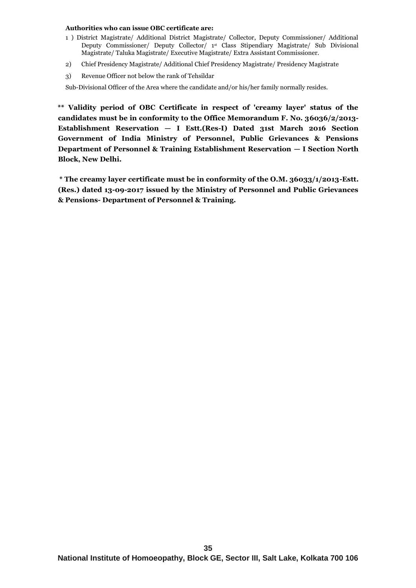#### **Authorities who can issue OBC certificate are:**

- 1 ) District Magistrate/ Additional District Magistrate/ Collector, Deputy Commissioner/ Additional Deputy Commissioner/ Deputy Collector/ 1st Class Stipendiary Magistrate/ Sub Divisional Magistrate/ Taluka Magistrate/ Executive Magistrate/ Extra Assistant Commissioner.
- 2) Chief Presidency Magistrate/ Additional Chief Presidency Magistrate/ Presidency Magistrate
- 3) Revenue Officer not below the rank of Tehsildar

Sub-Divisional Officer of the Area where the candidate and/or his/her family normally resides.

**\*\* Validity period of OBC Certificate in respect of 'creamy layer' status of the candidates must be in conformity to the Office Memorandum F. No. 36036/2/2013- Establishment Reservation — I Estt.(Res-I) Dated 31st March 2016 Section Government of India Ministry of Personnel, Public Grievances & Pensions Department of Personnel & Training Establishment Reservation — I Section North Block, New Delhi.** 

**\* The creamy layer certificate must be in conformity of the O.M. 36033/1/2013-Estt. (Res.) dated 13-09-2017 issued by the Ministry of Personnel and Public Grievances & Pensions- Department of Personnel & Training.**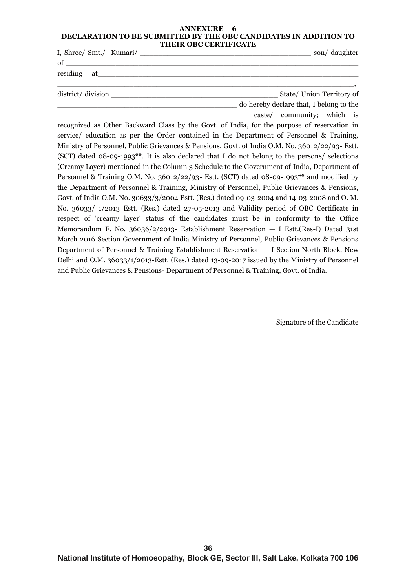#### **ANNEXURE – 6 DECLARATION TO BE SUBMITTED BY THE OBC CANDIDATES IN ADDITION TO THEIR OBC CERTIFICATE**

|                    | son/daughter                                                                                |
|--------------------|---------------------------------------------------------------------------------------------|
| $\sigma$ of $\sim$ |                                                                                             |
|                    |                                                                                             |
|                    |                                                                                             |
|                    | State/ Union Territory of                                                                   |
|                    | do hereby declare that, I belong to the                                                     |
|                    | caste/ community; which is                                                                  |
|                    | recognized as Other Backward Class by the Govt. of India, for the purpose of reservation in |
|                    | carrical education as per the Order contained in the Department of Personnal & Training     |

service/ education as per the Order contained in the Department of Personnel & Training, Ministry of Personnel, Public Grievances & Pensions, Govt. of India O.M. No. 36012/22/93- Estt. (SCT) dated 08-09-1993\*\*. It is also declared that I do not belong to the persons/ selections (Creamy Layer) mentioned in the Column 3 Schedule to the Government of India, Department of Personnel & Training O.M. No. 36012/22/93- Estt. (SCT) dated 08-09-1993\*\* and modified by the Department of Personnel & Training, Ministry of Personnel, Public Grievances & Pensions, Govt. of India O.M. No. 30633/3/2004 Estt. (Res.) dated 09-03-2004 and 14-03-2008 and O. M. No. 36033/ 1/2013 Estt. (Res.) dated 27-05-2013 and Validity period of OBC Certificate in respect of 'creamy layer' status of the candidates must be in conformity to the Office Memorandum F. No. 36036/2/2013- Establishment Reservation — I Estt.(Res-I) Dated 31st March 2016 Section Government of India Ministry of Personnel, Public Grievances & Pensions Department of Personnel & Training Establishment Reservation — I Section North Block, New Delhi and O.M. 36033/1/2013-Estt. (Res.) dated 13-09-2017 issued by the Ministry of Personnel and Public Grievances & Pensions- Department of Personnel & Training, Govt. of India.

Signature of the Candidate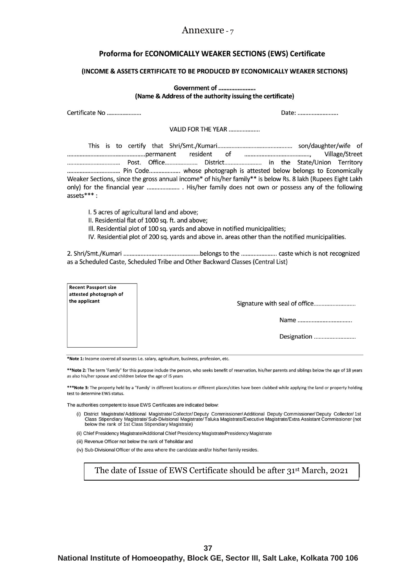# Annexure - 7

# Proforma for ECONOMICALLY WEAKER SECTIONS (EWS) Certificate

#### (INCOME & ASSETS CERTIFICATE TO BE PRODUCED BY ECONOMICALLY WEAKER SECTIONS)

|                                                                        | Government of                                                                                                                                                                 |                                                                                                                                                                                                                           |  |  |  |  |  |
|------------------------------------------------------------------------|-------------------------------------------------------------------------------------------------------------------------------------------------------------------------------|---------------------------------------------------------------------------------------------------------------------------------------------------------------------------------------------------------------------------|--|--|--|--|--|
|                                                                        | (Name & Address of the authority issuing the certificate)                                                                                                                     |                                                                                                                                                                                                                           |  |  |  |  |  |
| Certificate No<br>Date:                                                |                                                                                                                                                                               |                                                                                                                                                                                                                           |  |  |  |  |  |
|                                                                        | VALID FOR THE YEAR                                                                                                                                                            |                                                                                                                                                                                                                           |  |  |  |  |  |
| $asserts***$ :                                                         |                                                                                                                                                                               | Village/Street<br>Weaker Sections, since the gross annual income* of his/her family** is below Rs. 8 lakh (Rupees Eight Lakh<br>only) for the financial year  His/her family does not own or possess any of the following |  |  |  |  |  |
|                                                                        | I. 5 acres of agricultural land and above;<br>II. Residential flat of 1000 sq. ft. and above;<br>III. Residential plot of 100 sq. yards and above in notified municipalities; | IV. Residential plot of 200 sq. yards and above in. areas other than the notified municipalities.                                                                                                                         |  |  |  |  |  |
|                                                                        | as a Scheduled Caste, Scheduled Tribe and Other Backward Classes (Central List)                                                                                               |                                                                                                                                                                                                                           |  |  |  |  |  |
| <b>Recent Passport size</b><br>attested photograph of<br>the applicant |                                                                                                                                                                               |                                                                                                                                                                                                                           |  |  |  |  |  |
|                                                                        |                                                                                                                                                                               |                                                                                                                                                                                                                           |  |  |  |  |  |
|                                                                        |                                                                                                                                                                               |                                                                                                                                                                                                                           |  |  |  |  |  |
|                                                                        |                                                                                                                                                                               | Designation                                                                                                                                                                                                               |  |  |  |  |  |

\*Note 1: Income covered all sources i.e. salary, agriculture, business, profession, etc.

\*\*Note 2: The term 'Family" for this purpose include the person, who seeks benefit of reservation, his/her parents and siblings below the age of 18 years as also his/her spouse and children below the age of IS years

\*\*\* Note 3: The property held by a "Family' in different locations or different places/cities have been clubbed while applying the land or property holding test to determine EWS status.

The authorities competent to issue EWS Certificates are indicated below:

- (i) District Magistrate/Additional Magistrate/Collector/Deputy Commissioner/Additional Deputy Commissioner/Deputy Collector/1st<br>Class Stipendiary Magistrate/Sub-Divisional Magistrate/Taluka Magistrate/Executive Magistrate/
- (ii) Chief Presidency Magistrate/Additional Chief Presidency Magistrate/Presidency Magistrate

(iii) Revenue Officer not below the rank of Tehsildar and

(iv) Sub-Divisional Officer of the area where the candidate and/or his/her family resides.

The date of Issue of EWS Certificate should be after 31st March, 2021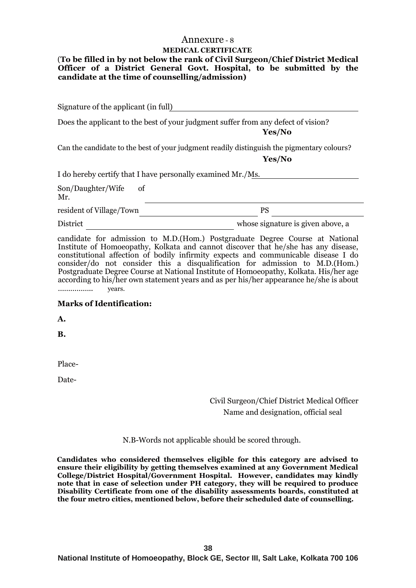# Annexure - 8 **MEDICAL CERTIFICATE**

# (**To be filled in by not below the rank of Civil Surgeon/Chief District Medical Officer of a District General Govt. Hospital, to be submitted by the candidate at the time of counselling/admission)**

Signature of the applicant (in full)

Does the applicant to the best of your judgment suffer from any defect of vision? **Yes/No**

Can the candidate to the best of your judgment readily distinguish the pigmentary colours?

 **Yes/No**

I do hereby certify that I have personally examined Mr./Ms.

Son/Daughter/Wife of Mr.

resident of Village/Town PS

District whose signature is given above, a

candidate for admission to M.D.(Hom.) Postgraduate Degree Course at National Institute of Homoeopathy, Kolkata and cannot discover that he/she has any disease, constitutional affection of bodily infirmity expects and communicable disease I do consider/do not consider this a disqualification for admission to M.D.(Hom.) Postgraduate Degree Course at National Institute of Homoeopathy, Kolkata. His/her age according to his/her own statement years and as per his/her appearance he/she is about …………….. years.

# **Marks of Identification:**

**A.**

**B.**

Place-

Date-

Civil Surgeon/Chief District Medical Officer Name and designation, official seal

N.B-Words not applicable should be scored through.

**Candidates who considered themselves eligible for this category are advised to ensure their eligibility by getting themselves examined at any Government Medical College/District Hospital/Government Hospital. However, candidates may kindly note that in case of selection under PH category, they will be required to produce Disability Certificate from one of the disability assessments boards, constituted at the four metro cities, mentioned below, before their scheduled date of counselling.**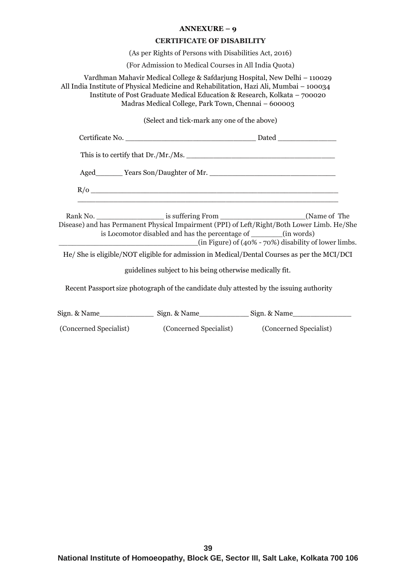#### **CERTIFICATE OF DISABILITY**

(As per Rights of Persons with Disabilities Act, 2016)

(For Admission to Medical Courses in All India Quota)

Vardhman Mahavir Medical College & Safdarjung Hospital, New Delhi – 110029 All India Institute of Physical Medicine and Rehabilitation, Hazi Ali, Mumbai – 100034 Institute of Post Graduate Medical Education & Research, Kolkata – 700020 Madras Medical College, Park Town, Chennai – 600003

(Select and tick-mark any one of the above)

| Disease) and has Permanent Physical Impairment (PPI) of Left/Right/Both Lower Limb. He/She<br>is Locomotor disabled and has the percentage of _______(in words)<br>$(in Figure)$ of $(40\% - 70\%)$ disability of lower limbs. |  |
|--------------------------------------------------------------------------------------------------------------------------------------------------------------------------------------------------------------------------------|--|
| He/She is eligible/NOT eligible for admission in Medical/Dental Courses as per the MCI/DCI                                                                                                                                     |  |
| guidelines subject to his being otherwise medically fit.                                                                                                                                                                       |  |
| Recent Passport size photograph of the candidate duly attested by the issuing authority                                                                                                                                        |  |
| Sign. & Name_______________________ Sign. & Name___________________Sign. & Name____________________                                                                                                                            |  |

(Concerned Specialist) (Concerned Specialist) (Concerned Specialist)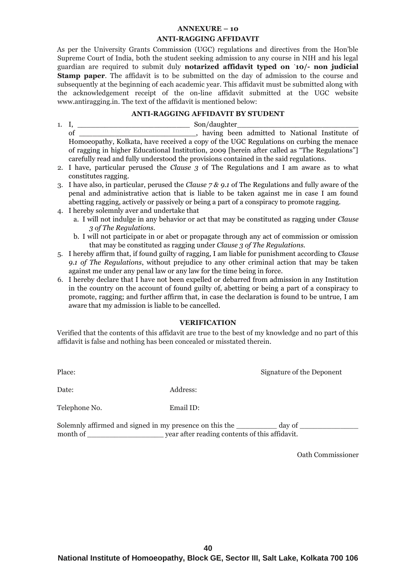#### **ANTI-RAGGING AFFIDAVIT**

As per the University Grants Commission (UGC) regulations and directives from the Hon'ble Supreme Court of India, both the student seeking admission to any course in NIH and his legal guardian are required to submit duly **notarized affidavit typed on** `**10/- non judicial Stamp paper**. The affidavit is to be submitted on the day of admission to the course and subsequently at the beginning of each academic year. This affidavit must be submitted along with the acknowledgement receipt of the on-line affidavit submitted at the UGC website www.antiragging.in. The text of the affidavit is mentioned below:

#### **ANTI-RAGGING AFFIDAVIT BY STUDENT**

- 1. I, \_\_\_\_\_\_\_\_\_\_\_\_\_\_\_\_\_\_\_\_\_\_\_\_\_ Son/daughter\_\_\_\_\_\_\_\_\_\_\_\_\_\_\_\_\_\_\_\_\_\_\_\_\_\_\_ of \_\_\_\_\_\_\_\_\_\_\_\_\_\_\_\_\_\_\_\_\_\_\_\_\_\_, having been admitted to National Institute of Homoeopathy, Kolkata, have received a copy of the UGC Regulations on curbing the menace of ragging in higher Educational Institution, 2009 [herein after called as "The Regulations"] carefully read and fully understood the provisions contained in the said regulations.
- 2. I have, particular perused the *Clause 3* of The Regulations and I am aware as to what constitutes ragging.
- 3. I have also, in particular, perused the *Clause 7 & 9.1* of The Regulations and fully aware of the penal and administrative action that is liable to be taken against me in case I am found abetting ragging, actively or passively or being a part of a conspiracy to promote ragging.
- 4. I hereby solemnly aver and undertake that
	- a. I will not indulge in any behavior or act that may be constituted as ragging under *Clause 3 of The Regulations.*
	- b. I will not participate in or abet or propagate through any act of commission or omission that may be constituted as ragging under *Clause 3 of The Regulations.*
- 5. I hereby affirm that, if found guilty of ragging, I am liable for punishment according to *Clause 9.1 of The Regulations*, without prejudice to any other criminal action that may be taken against me under any penal law or any law for the time being in force.
- 6. I hereby declare that I have not been expelled or debarred from admission in any Institution in the country on the account of found guilty of, abetting or being a part of a conspiracy to promote, ragging; and further affirm that, in case the declaration is found to be untrue, I am aware that my admission is liable to be cancelled.

# **VERIFICATION**

Verified that the contents of this affidavit are true to the best of my knowledge and no part of this affidavit is false and nothing has been concealed or misstated therein.

Place: Signature of the Deponent

Date: Address:

Telephone No. Email ID:

Solemnly affirmed and signed in my presence on this the day of  $\alpha$ month of wear after reading contents of this affidavit.

Oath Commissioner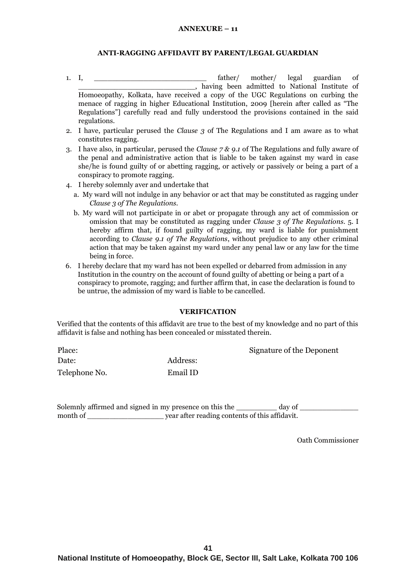### **ANTI-RAGGING AFFIDAVIT BY PARENT/LEGAL GUARDIAN**

- 1. I, \_\_\_\_\_\_\_\_\_\_\_\_\_\_\_\_\_\_\_\_\_\_\_\_\_ father/ mother/ legal guardian of \_\_\_\_\_\_\_\_\_\_\_\_\_\_\_\_\_\_\_\_\_\_\_\_\_\_, having been admitted to National Institute of Homoeopathy, Kolkata, have received a copy of the UGC Regulations on curbing the menace of ragging in higher Educational Institution, 2009 [herein after called as "The Regulations"] carefully read and fully understood the provisions contained in the said regulations.
- 2. I have, particular perused the *Clause 3* of The Regulations and I am aware as to what constitutes ragging.
- 3. I have also, in particular, perused the *Clause 7 & 9.1* of The Regulations and fully aware of the penal and administrative action that is liable to be taken against my ward in case she/he is found guilty of or abetting ragging, or actively or passively or being a part of a conspiracy to promote ragging.
- 4. I hereby solemnly aver and undertake that
	- a. My ward will not indulge in any behavior or act that may be constituted as ragging under *Clause 3 of The Regulations.*
	- b. My ward will not participate in or abet or propagate through any act of commission or omission that may be constituted as ragging under *Clause 3 of The Regulations.* 5. I hereby affirm that, if found guilty of ragging, my ward is liable for punishment according to *Clause 9.1 of The Regulations*, without prejudice to any other criminal action that may be taken against my ward under any penal law or any law for the time being in force.
- 6. I hereby declare that my ward has not been expelled or debarred from admission in any Institution in the country on the account of found guilty of abetting or being a part of a conspiracy to promote, ragging; and further affirm that, in case the declaration is found to be untrue, the admission of my ward is liable to be cancelled.

#### **VERIFICATION**

Verified that the contents of this affidavit are true to the best of my knowledge and no part of this affidavit is false and nothing has been concealed or misstated therein.

Date: Address: Telephone No. Email ID

Place: Signature of the Deponent

Solemnly affirmed and signed in my presence on this the day of month of \_\_\_\_\_\_\_\_\_\_\_\_\_\_\_\_\_\_\_\_\_\_\_ year after reading contents of this affidavit.

Oath Commissioner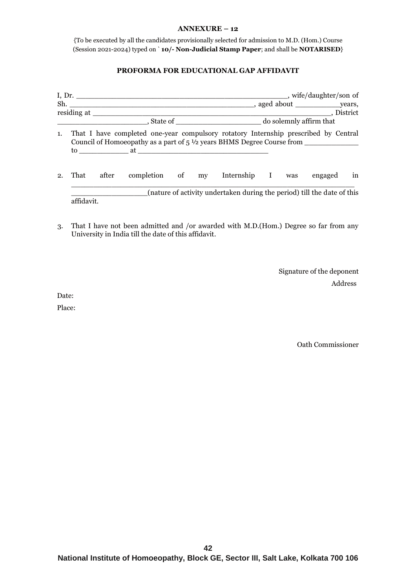{To be executed by all the candidates provisionally selected for admission to M.D. (Hom.) Course (Session 2021-2024) typed on ` **10/- Non-Judicial Stamp Paper**; and shall be **NOTARISED**}

# **PROFORMA FOR EDUCATIONAL GAP AFFIDAVIT**

| 1.             |            |       | That I have completed one-year compulsory rotatory Internship prescribed by Central<br>Council of Homoeopathy as a part of $5\frac{1}{2}$ years BHMS Degree Course from |  |                                                                         |  |    |
|----------------|------------|-------|-------------------------------------------------------------------------------------------------------------------------------------------------------------------------|--|-------------------------------------------------------------------------|--|----|
| $\mathbf{2}$ . | That       | after |                                                                                                                                                                         |  | completion of my Internship I was engaged                               |  | in |
|                | affidavit. |       |                                                                                                                                                                         |  | (nature of activity undertaken during the period) till the date of this |  |    |

3. That I have not been admitted and /or awarded with M.D.(Hom.) Degree so far from any University in India till the date of this affidavit.

> Signature of the deponent Address

Date:

Place:

Oath Commissioner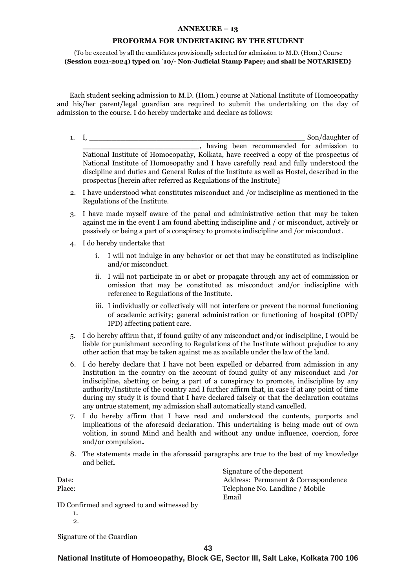#### **PROFORMA FOR UNDERTAKING BY THE STUDENT**

{To be executed by all the candidates provisionally selected for admission to M.D. (Hom.) Course **(Session 2021-2024) typed on** `**10/- Non-Judicial Stamp Paper; and shall be NOTARISED}**

Each student seeking admission to M.D. (Hom.) course at National Institute of Homoeopathy and his/her parent/legal guardian are required to submit the undertaking on the day of admission to the course. I do hereby undertake and declare as follows:

- 1. I, \_\_\_\_\_\_\_\_\_\_\_\_\_\_\_\_\_\_\_\_\_\_\_\_\_\_\_\_\_\_\_\_\_\_\_\_\_\_\_\_\_\_\_\_\_\_\_\_ Son/daughter of \_\_\_\_\_\_\_\_\_\_\_\_\_\_\_\_\_\_\_\_\_\_\_\_\_\_, having been recommended for admission to National Institute of Homoeopathy, Kolkata, have received a copy of the prospectus of National Institute of Homoeopathy and I have carefully read and fully understood the discipline and duties and General Rules of the Institute as well as Hostel, described in the prospectus [herein after referred as Regulations of the Institute]
- 2. I have understood what constitutes misconduct and /or indiscipline as mentioned in the Regulations of the Institute.
- 3. I have made myself aware of the penal and administrative action that may be taken against me in the event I am found abetting indiscipline and / or misconduct, actively or passively or being a part of a conspiracy to promote indiscipline and /or misconduct.
- 4. I do hereby undertake that
	- i. I will not indulge in any behavior or act that may be constituted as indiscipline and/or misconduct.
	- ii. I will not participate in or abet or propagate through any act of commission or omission that may be constituted as misconduct and/or indiscipline with reference to Regulations of the Institute.
	- iii. I individually or collectively will not interfere or prevent the normal functioning of academic activity; general administration or functioning of hospital (OPD/ IPD) affecting patient care.
- 5. I do hereby affirm that, if found guilty of any misconduct and/or indiscipline, I would be liable for punishment according to Regulations of the Institute without prejudice to any other action that may be taken against me as available under the law of the land.
- 6. I do hereby declare that I have not been expelled or debarred from admission in any Institution in the country on the account of found guilty of any misconduct and /or indiscipline, abetting or being a part of a conspiracy to promote, indiscipline by any authority/Institute of the country and I further affirm that, in case if at any point of time during my study it is found that I have declared falsely or that the declaration contains any untrue statement, my admission shall automatically stand cancelled.
- 7. I do hereby affirm that I have read and understood the contents, purports and implications of the aforesaid declaration. This undertaking is being made out of own volition, in sound Mind and health and without any undue influence, coercion, force and/or compulsion*.*
- 8. The statements made in the aforesaid paragraphs are true to the best of my knowledge and belief*.*

 Signature of the deponent Date: Address: Permanent & Correspondence Place: Telephone No. Landline / Mobile Email ID Confirmed and agreed to and witnessed by 1. 2.

Signature of the Guardian